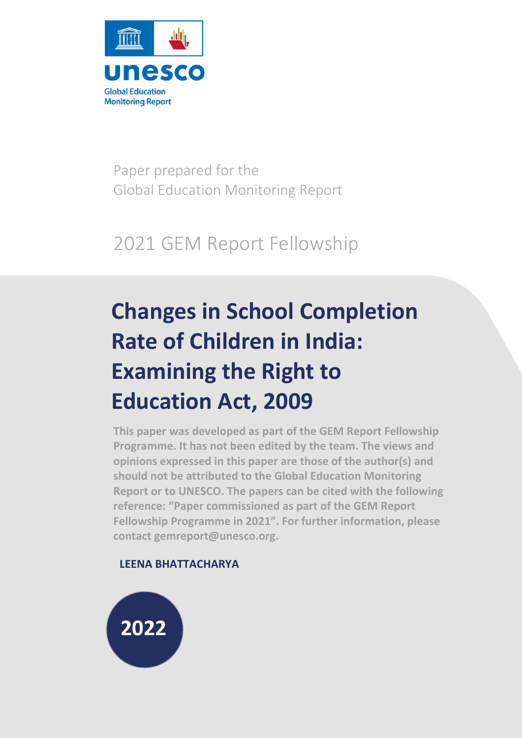

Paper prepared for the Global Education Monitoring Report

## 2021 GEM Report Fellowship

# **Changes in School Completion Rate of Children in India: Examining the Right to Education Act, 2009**

**This paper was developed as part of the GEM Report Fellowship Programme. It has not been edited by the team. The views and opinions expressed in this paper are those of the author(s) and should not be attributed to the Global Education Monitoring Report or to UNESCO. The papers can be cited with the following reference: "Paper commissioned as part of the GEM Report Fellowship Programme in 2021". For further information, please contact gemreport@unesco.org.**

### **LEENA BHATTACHARYA**

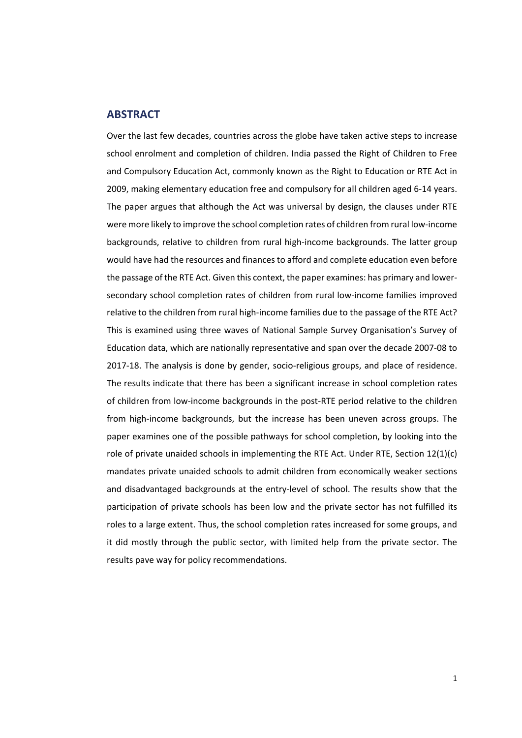#### <span id="page-1-0"></span>**ABSTRACT**

Over the last few decades, countries across the globe have taken active steps to increase school enrolment and completion of children. India passed the Right of Children to Free and Compulsory Education Act, commonly known as the Right to Education or RTE Act in 2009, making elementary education free and compulsory for all children aged 6-14 years. The paper argues that although the Act was universal by design, the clauses under RTE were more likely to improve the school completion rates of children from rural low-income backgrounds, relative to children from rural high-income backgrounds. The latter group would have had the resources and finances to afford and complete education even before the passage of the RTE Act. Given this context, the paper examines: has primary and lowersecondary school completion rates of children from rural low-income families improved relative to the children from rural high-income families due to the passage of the RTE Act? This is examined using three waves of National Sample Survey Organisation's Survey of Education data, which are nationally representative and span over the decade 2007-08 to 2017-18. The analysis is done by gender, socio-religious groups, and place of residence. The results indicate that there has been a significant increase in school completion rates of children from low-income backgrounds in the post-RTE period relative to the children from high-income backgrounds, but the increase has been uneven across groups. The paper examines one of the possible pathways for school completion, by looking into the role of private unaided schools in implementing the RTE Act. Under RTE, Section 12(1)(c) mandates private unaided schools to admit children from economically weaker sections and disadvantaged backgrounds at the entry-level of school. The results show that the participation of private schools has been low and the private sector has not fulfilled its roles to a large extent. Thus, the school completion rates increased for some groups, and it did mostly through the public sector, with limited help from the private sector. The results pave way for policy recommendations.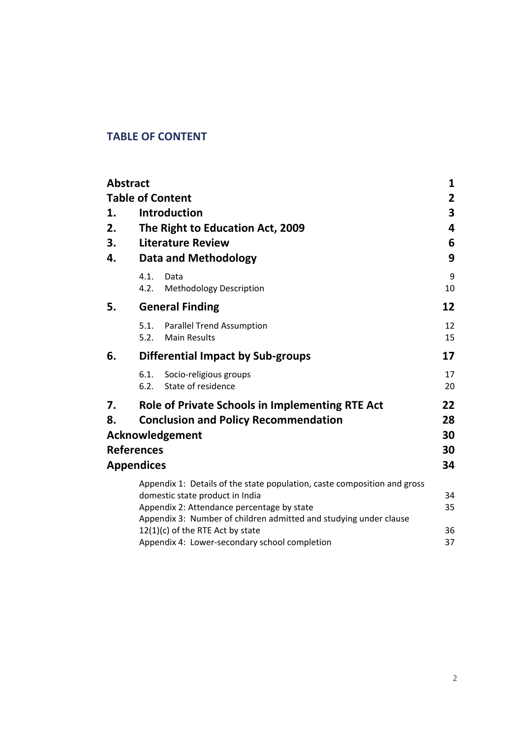### <span id="page-2-0"></span>**TABLE OF CONTENT**

|    | <b>Abstract</b>   |                                                                                                       | 1                       |
|----|-------------------|-------------------------------------------------------------------------------------------------------|-------------------------|
|    |                   | <b>Table of Content</b>                                                                               | $\mathbf{2}$            |
| 1. |                   | <b>Introduction</b>                                                                                   | $\overline{\mathbf{3}}$ |
| 2. |                   | The Right to Education Act, 2009                                                                      | 4                       |
| 3. |                   | <b>Literature Review</b>                                                                              | 6                       |
| 4. |                   | <b>Data and Methodology</b>                                                                           | 9                       |
|    | 4.1.<br>4.2.      | Data<br><b>Methodology Description</b>                                                                | 9<br>10                 |
| 5. |                   | <b>General Finding</b>                                                                                | 12                      |
|    | 5.1.<br>5.2.      | <b>Parallel Trend Assumption</b><br><b>Main Results</b>                                               | 12<br>15                |
| 6. |                   | <b>Differential Impact by Sub-groups</b>                                                              | 17                      |
|    | 6.1.<br>6.2.      | Socio-religious groups<br>State of residence                                                          | 17<br>20                |
| 7. |                   | <b>Role of Private Schools in Implementing RTE Act</b>                                                | 22                      |
| 8. |                   | <b>Conclusion and Policy Recommendation</b>                                                           | 28                      |
|    |                   | Acknowledgement                                                                                       | 30                      |
|    | <b>References</b> |                                                                                                       | 30                      |
|    | <b>Appendices</b> |                                                                                                       | 34                      |
|    |                   | Appendix 1: Details of the state population, caste composition and gross                              |                         |
|    |                   | domestic state product in India                                                                       | 34                      |
|    |                   | Appendix 2: Attendance percentage by state                                                            | 35                      |
|    |                   | Appendix 3: Number of children admitted and studying under clause<br>12(1)(c) of the RTE Act by state | 36                      |
|    |                   | Appendix 4: Lower-secondary school completion                                                         | 37                      |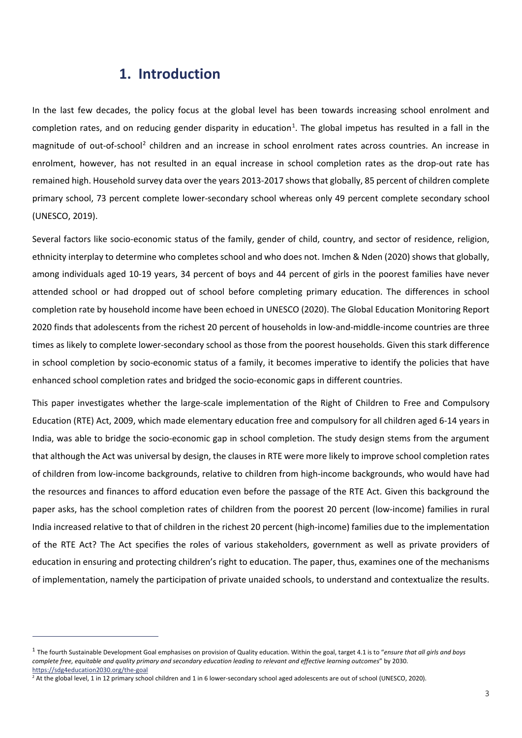### <span id="page-3-0"></span>**1. Introduction**

In the last few decades, the policy focus at the global level has been towards increasing school enrolment and completion rates, and on reducing gender disparity in education<sup>[1](#page-3-1)</sup>. The global impetus has resulted in a fall in the magnitude of out-of-school<sup>[2](#page-3-2)</sup> children and an increase in school enrolment rates across countries. An increase in enrolment, however, has not resulted in an equal increase in school completion rates as the drop-out rate has remained high. Household survey data over the years 2013-2017 shows that globally, 85 percent of children complete primary school, 73 percent complete lower-secondary school whereas only 49 percent complete secondary school (UNESCO, 2019).

Several factors like socio-economic status of the family, gender of child, country, and sector of residence, religion, ethnicity interplay to determine who completes school and who does not. Imchen & Nden (2020) shows that globally, among individuals aged 10-19 years, 34 percent of boys and 44 percent of girls in the poorest families have never attended school or had dropped out of school before completing primary education. The differences in school completion rate by household income have been echoed in UNESCO (2020). The Global Education Monitoring Report 2020 finds that adolescents from the richest 20 percent of households in low-and-middle-income countries are three times as likely to complete lower-secondary school as those from the poorest households. Given this stark difference in school completion by socio-economic status of a family, it becomes imperative to identify the policies that have enhanced school completion rates and bridged the socio-economic gaps in different countries.

This paper investigates whether the large-scale implementation of the Right of Children to Free and Compulsory Education (RTE) Act, 2009, which made elementary education free and compulsory for all children aged 6-14 years in India, was able to bridge the socio-economic gap in school completion. The study design stems from the argument that although the Act was universal by design, the clauses in RTE were more likely to improve school completion rates of children from low-income backgrounds, relative to children from high-income backgrounds, who would have had the resources and finances to afford education even before the passage of the RTE Act. Given this background the paper asks, has the school completion rates of children from the poorest 20 percent (low-income) families in rural India increased relative to that of children in the richest 20 percent (high-income) families due to the implementation of the RTE Act? The Act specifies the roles of various stakeholders, government as well as private providers of education in ensuring and protecting children's right to education. The paper, thus, examines one of the mechanisms of implementation, namely the participation of private unaided schools, to understand and contextualize the results.

<span id="page-3-1"></span><sup>1</sup> The fourth Sustainable Development Goal emphasises on provision of Quality education. Within the goal, target 4.1 is to "*ensure that all girls and boys complete free, equitable and quality primary and secondary education leading to relevant and effective learning outcomes*" by 2030.

<span id="page-3-2"></span><sup>&</sup>lt;sup>2</sup> At the global level, 1 in 12 primary school children and 1 in 6 lower-secondary school aged adolescents are out of school (UNESCO, 2020).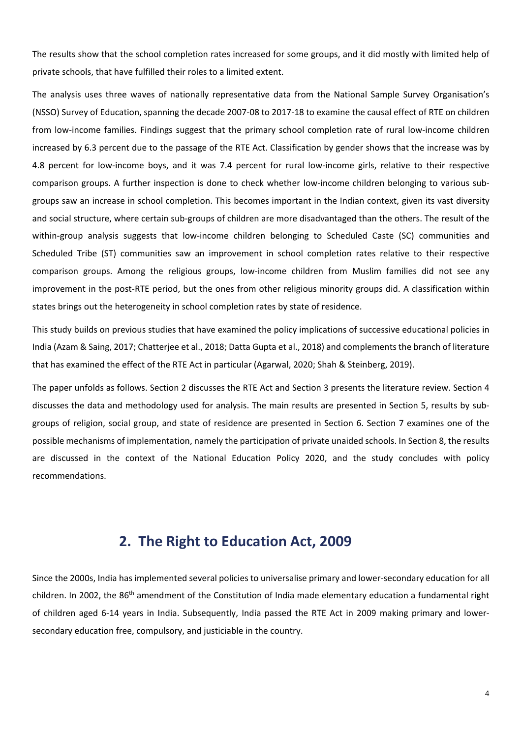The results show that the school completion rates increased for some groups, and it did mostly with limited help of private schools, that have fulfilled their roles to a limited extent.

The analysis uses three waves of nationally representative data from the National Sample Survey Organisation's (NSSO) Survey of Education, spanning the decade 2007-08 to 2017-18 to examine the causal effect of RTE on children from low-income families. Findings suggest that the primary school completion rate of rural low-income children increased by 6.3 percent due to the passage of the RTE Act. Classification by gender shows that the increase was by 4.8 percent for low-income boys, and it was 7.4 percent for rural low-income girls, relative to their respective comparison groups. A further inspection is done to check whether low-income children belonging to various subgroups saw an increase in school completion. This becomes important in the Indian context, given its vast diversity and social structure, where certain sub-groups of children are more disadvantaged than the others. The result of the within-group analysis suggests that low-income children belonging to Scheduled Caste (SC) communities and Scheduled Tribe (ST) communities saw an improvement in school completion rates relative to their respective comparison groups. Among the religious groups, low-income children from Muslim families did not see any improvement in the post-RTE period, but the ones from other religious minority groups did. A classification within states brings out the heterogeneity in school completion rates by state of residence.

This study builds on previous studies that have examined the policy implications of successive educational policies in India (Azam & Saing, 2017; Chatterjee et al., 2018; Datta Gupta et al., 2018) and complements the branch of literature that has examined the effect of the RTE Act in particular (Agarwal, 2020; Shah & Steinberg, 2019).

The paper unfolds as follows. Section 2 discusses the RTE Act and Section 3 presents the literature review. Section 4 discusses the data and methodology used for analysis. The main results are presented in Section 5, results by subgroups of religion, social group, and state of residence are presented in Section 6. Section 7 examines one of the possible mechanisms of implementation, namely the participation of private unaided schools. In Section 8, the results are discussed in the context of the National Education Policy 2020, and the study concludes with policy recommendations.

### <span id="page-4-0"></span>**2. The Right to Education Act, 2009**

Since the 2000s, India has implemented several policies to universalise primary and lower-secondary education for all children. In 2002, the 86<sup>th</sup> amendment of the Constitution of India made elementary education a fundamental right of children aged 6-14 years in India. Subsequently, India passed the RTE Act in 2009 making primary and lowersecondary education free, compulsory, and justiciable in the country.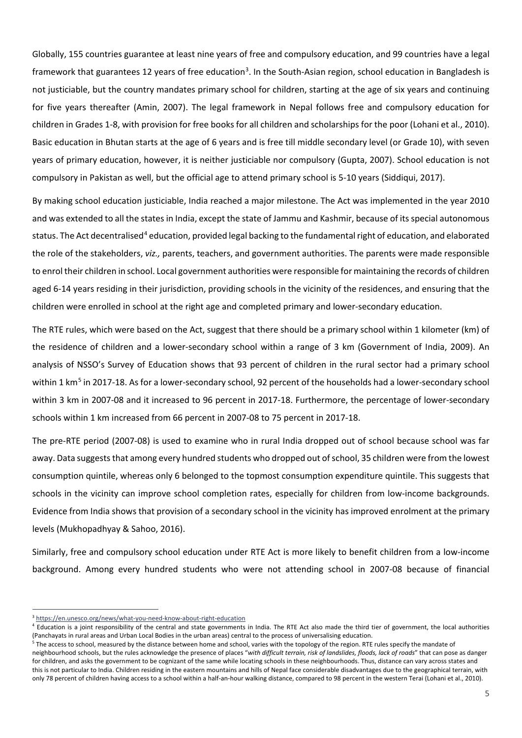Globally, 155 countries guarantee at least nine years of free and compulsory education, and 99 countries have a legal framework that guarantees 12 years of free education<sup>[3](#page-5-0)</sup>. In the South-Asian region, school education in Bangladesh is not justiciable, but the country mandates primary school for children, starting at the age of six years and continuing for five years thereafter (Amin, 2007). The legal framework in Nepal follows free and compulsory education for children in Grades 1-8, with provision for free books for all children and scholarships for the poor (Lohani et al., 2010). Basic education in Bhutan starts at the age of 6 years and is free till middle secondary level (or Grade 10), with seven years of primary education, however, it is neither justiciable nor compulsory (Gupta, 2007). School education is not compulsory in Pakistan as well, but the official age to attend primary school is 5-10 years (Siddiqui, 2017).

By making school education justiciable, India reached a major milestone. The Act was implemented in the year 2010 and was extended to all the states in India, except the state of Jammu and Kashmir, because of its special autonomous status. The Act decentralised<sup>[4](#page-5-1)</sup> education, provided legal backing to the fundamental right of education, and elaborated the role of the stakeholders, *viz.,* parents, teachers, and government authorities. The parents were made responsible to enrol their children in school. Local government authorities were responsible for maintaining the records of children aged 6-14 years residing in their jurisdiction, providing schools in the vicinity of the residences, and ensuring that the children were enrolled in school at the right age and completed primary and lower-secondary education.

The RTE rules, which were based on the Act, suggest that there should be a primary school within 1 kilometer (km) of the residence of children and a lower-secondary school within a range of 3 km (Government of India, 2009). An analysis of NSSO's Survey of Education shows that 93 percent of children in the rural sector had a primary school within 1 km<sup>[5](#page-5-2)</sup> in 2017-18. As for a lower-secondary school, 92 percent of the households had a lower-secondary school within 3 km in 2007-08 and it increased to 96 percent in 2017-18. Furthermore, the percentage of lower-secondary schools within 1 km increased from 66 percent in 2007-08 to 75 percent in 2017-18.

The pre-RTE period (2007-08) is used to examine who in rural India dropped out of school because school was far away. Data suggests that among every hundred students who dropped out of school, 35 children were from the lowest consumption quintile, whereas only 6 belonged to the topmost consumption expenditure quintile. This suggests that schools in the vicinity can improve school completion rates, especially for children from low-income backgrounds. Evidence from India shows that provision of a secondary school in the vicinity has improved enrolment at the primary levels (Mukhopadhyay & Sahoo, 2016).

Similarly, free and compulsory school education under RTE Act is more likely to benefit children from a low-income background. Among every hundred students who were not attending school in 2007-08 because of financial

<span id="page-5-1"></span><span id="page-5-0"></span><sup>&</sup>lt;sup>3</sup> https://en.unesco.org/news/what-you-need-know-about-right-education<br><sup>4</sup> Education is a joint responsibility of the central and state governments in India. The RTE Act also made the third tier of government, the local a (Panchayats in rural areas and Urban Local Bodies in the urban areas) central to the process of universalising education.<br><sup>5</sup> The access to school, measured by the distance between home and school, varies with the topology

<span id="page-5-2"></span>neighbourhood schools, but the rules acknowledge the presence of places "*with difficult terrain, risk of landslides, floods, lack of roads*" that can pose as danger for children, and asks the government to be cognizant of the same while locating schools in these neighbourhoods. Thus, distance can vary across states and this is not particular to India. Children residing in the eastern mountains and hills of Nepal face considerable disadvantages due to the geographical terrain, with only 78 percent of children having access to a school within a half-an-hour walking distance, compared to 98 percent in the western Terai (Lohani et al., 2010).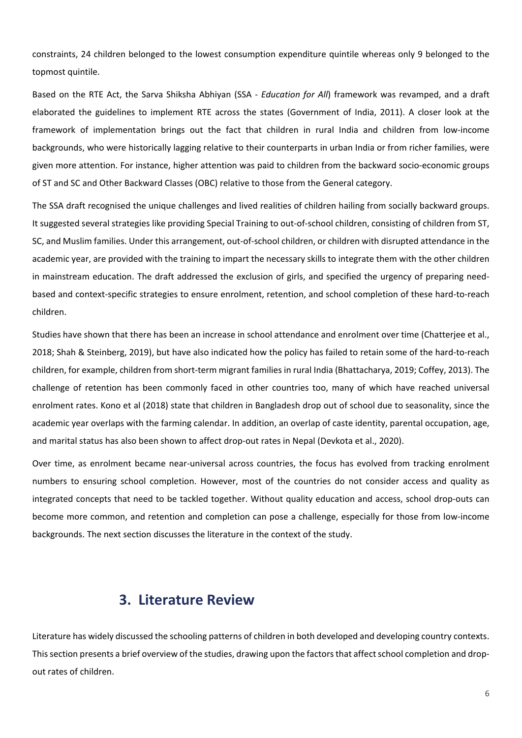constraints, 24 children belonged to the lowest consumption expenditure quintile whereas only 9 belonged to the topmost quintile.

Based on the RTE Act, the Sarva Shiksha Abhiyan (SSA - *Education for All*) framework was revamped, and a draft elaborated the guidelines to implement RTE across the states (Government of India, 2011). A closer look at the framework of implementation brings out the fact that children in rural India and children from low-income backgrounds, who were historically lagging relative to their counterparts in urban India or from richer families, were given more attention. For instance, higher attention was paid to children from the backward socio-economic groups of ST and SC and Other Backward Classes (OBC) relative to those from the General category.

The SSA draft recognised the unique challenges and lived realities of children hailing from socially backward groups. It suggested several strategies like providing Special Training to out-of-school children, consisting of children from ST, SC, and Muslim families. Under this arrangement, out-of-school children, or children with disrupted attendance in the academic year, are provided with the training to impart the necessary skills to integrate them with the other children in mainstream education. The draft addressed the exclusion of girls, and specified the urgency of preparing needbased and context-specific strategies to ensure enrolment, retention, and school completion of these hard-to-reach children.

Studies have shown that there has been an increase in school attendance and enrolment over time (Chatterjee et al., 2018; Shah & Steinberg, 2019), but have also indicated how the policy has failed to retain some of the hard-to-reach children, for example, children from short-term migrant families in rural India (Bhattacharya, 2019; Coffey, 2013). The challenge of retention has been commonly faced in other countries too, many of which have reached universal enrolment rates. Kono et al (2018) state that children in Bangladesh drop out of school due to seasonality, since the academic year overlaps with the farming calendar. In addition, an overlap of caste identity, parental occupation, age, and marital status has also been shown to affect drop-out rates in Nepal (Devkota et al., 2020).

Over time, as enrolment became near-universal across countries, the focus has evolved from tracking enrolment numbers to ensuring school completion. However, most of the countries do not consider access and quality as integrated concepts that need to be tackled together. Without quality education and access, school drop-outs can become more common, and retention and completion can pose a challenge, especially for those from low-income backgrounds. The next section discusses the literature in the context of the study.

### <span id="page-6-0"></span>**3. Literature Review**

Literature has widely discussed the schooling patterns of children in both developed and developing country contexts. This section presents a brief overview of the studies, drawing upon the factors that affect school completion and dropout rates of children.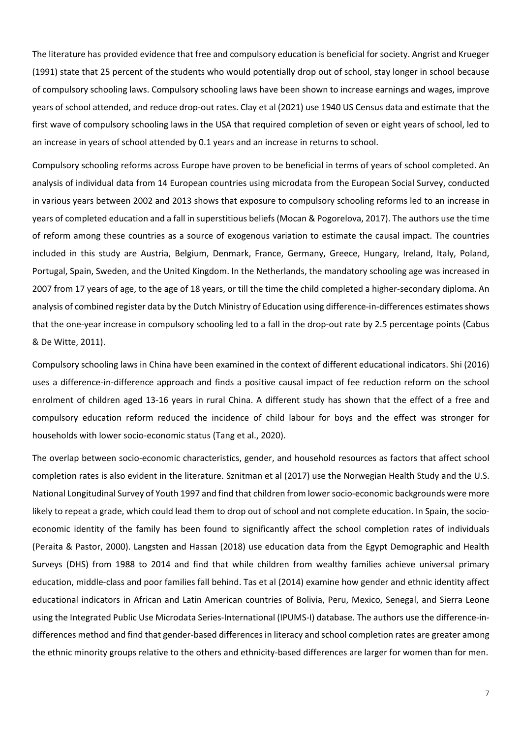The literature has provided evidence that free and compulsory education is beneficial for society. Angrist and Krueger (1991) state that 25 percent of the students who would potentially drop out of school, stay longer in school because of compulsory schooling laws. Compulsory schooling laws have been shown to increase earnings and wages, improve years of school attended, and reduce drop-out rates. Clay et al (2021) use 1940 US Census data and estimate that the first wave of compulsory schooling laws in the USA that required completion of seven or eight years of school, led to an increase in years of school attended by 0.1 years and an increase in returns to school.

Compulsory schooling reforms across Europe have proven to be beneficial in terms of years of school completed. An analysis of individual data from 14 European countries using microdata from the European Social Survey, conducted in various years between 2002 and 2013 shows that exposure to compulsory schooling reforms led to an increase in years of completed education and a fall in superstitious beliefs (Mocan & Pogorelova, 2017). The authors use the time of reform among these countries as a source of exogenous variation to estimate the causal impact. The countries included in this study are Austria, Belgium, Denmark, France, Germany, Greece, Hungary, Ireland, Italy, Poland, Portugal, Spain, Sweden, and the United Kingdom. In the Netherlands, the mandatory schooling age was increased in 2007 from 17 years of age, to the age of 18 years, or till the time the child completed a higher-secondary diploma. An analysis of combined register data by the Dutch Ministry of Education using difference-in-differences estimates shows that the one-year increase in compulsory schooling led to a fall in the drop-out rate by 2.5 percentage points (Cabus & De Witte, 2011).

Compulsory schooling laws in China have been examined in the context of different educational indicators. Shi (2016) uses a difference-in-difference approach and finds a positive causal impact of fee reduction reform on the school enrolment of children aged 13-16 years in rural China. A different study has shown that the effect of a free and compulsory education reform reduced the incidence of child labour for boys and the effect was stronger for households with lower socio-economic status (Tang et al., 2020).

The overlap between socio-economic characteristics, gender, and household resources as factors that affect school completion rates is also evident in the literature. Sznitman et al (2017) use the Norwegian Health Study and the U.S. National Longitudinal Survey of Youth 1997 and find that children from lower socio-economic backgrounds were more likely to repeat a grade, which could lead them to drop out of school and not complete education. In Spain, the socioeconomic identity of the family has been found to significantly affect the school completion rates of individuals (Peraita & Pastor, 2000). Langsten and Hassan (2018) use education data from the Egypt Demographic and Health Surveys (DHS) from 1988 to 2014 and find that while children from wealthy families achieve universal primary education, middle-class and poor families fall behind. Tas et al (2014) examine how gender and ethnic identity affect educational indicators in African and Latin American countries of Bolivia, Peru, Mexico, Senegal, and Sierra Leone using the Integrated Public Use Microdata Series-International (IPUMS-I) database. The authors use the difference-indifferences method and find that gender-based differences in literacy and school completion rates are greater among the ethnic minority groups relative to the others and ethnicity-based differences are larger for women than for men.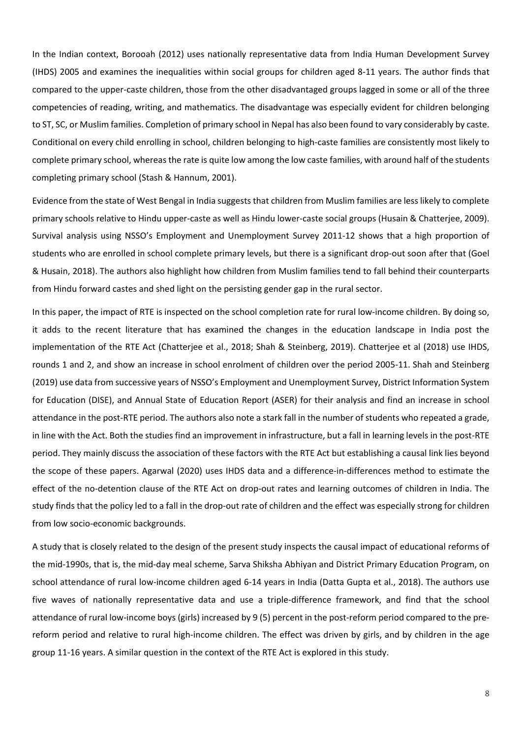In the Indian context, Borooah (2012) uses nationally representative data from India Human Development Survey (IHDS) 2005 and examines the inequalities within social groups for children aged 8-11 years. The author finds that compared to the upper-caste children, those from the other disadvantaged groups lagged in some or all of the three competencies of reading, writing, and mathematics. The disadvantage was especially evident for children belonging to ST, SC, or Muslim families. Completion of primary school in Nepal has also been found to vary considerably by caste. Conditional on every child enrolling in school, children belonging to high-caste families are consistently most likely to complete primary school, whereas the rate is quite low among the low caste families, with around half of the students completing primary school (Stash & Hannum, 2001).

Evidence from the state of West Bengal in India suggests that children from Muslim families are less likely to complete primary schools relative to Hindu upper-caste as well as Hindu lower-caste social groups (Husain & Chatterjee, 2009). Survival analysis using NSSO's Employment and Unemployment Survey 2011-12 shows that a high proportion of students who are enrolled in school complete primary levels, but there is a significant drop-out soon after that (Goel & Husain, 2018). The authors also highlight how children from Muslim families tend to fall behind their counterparts from Hindu forward castes and shed light on the persisting gender gap in the rural sector.

In this paper, the impact of RTE is inspected on the school completion rate for rural low-income children. By doing so, it adds to the recent literature that has examined the changes in the education landscape in India post the implementation of the RTE Act (Chatterjee et al., 2018; Shah & Steinberg, 2019). Chatterjee et al (2018) use IHDS, rounds 1 and 2, and show an increase in school enrolment of children over the period 2005-11. Shah and Steinberg (2019) use data from successive years of NSSO's Employment and Unemployment Survey, District Information System for Education (DISE), and Annual State of Education Report (ASER) for their analysis and find an increase in school attendance in the post-RTE period. The authors also note a stark fall in the number of students who repeated a grade, in line with the Act. Both the studies find an improvement in infrastructure, but a fall in learning levels in the post-RTE period. They mainly discuss the association of these factors with the RTE Act but establishing a causal link lies beyond the scope of these papers. Agarwal (2020) uses IHDS data and a difference-in-differences method to estimate the effect of the no-detention clause of the RTE Act on drop-out rates and learning outcomes of children in India. The study finds that the policy led to a fall in the drop-out rate of children and the effect was especially strong for children from low socio-economic backgrounds.

A study that is closely related to the design of the present study inspects the causal impact of educational reforms of the mid-1990s, that is, the mid-day meal scheme, Sarva Shiksha Abhiyan and District Primary Education Program, on school attendance of rural low-income children aged 6-14 years in India (Datta Gupta et al., 2018). The authors use five waves of nationally representative data and use a triple-difference framework, and find that the school attendance of rural low-income boys (girls) increased by 9 (5) percent in the post-reform period compared to the prereform period and relative to rural high-income children. The effect was driven by girls, and by children in the age group 11-16 years. A similar question in the context of the RTE Act is explored in this study.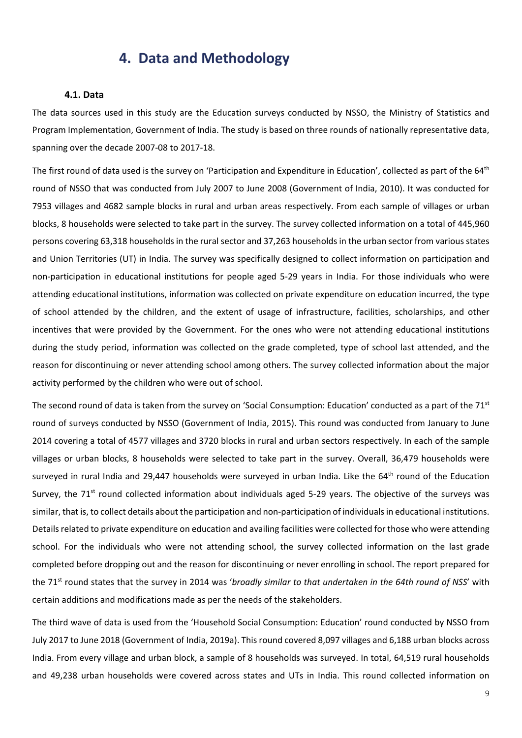### <span id="page-9-0"></span>**4. Data and Methodology**

#### <span id="page-9-1"></span>**4.1. Data**

The data sources used in this study are the Education surveys conducted by NSSO, the Ministry of Statistics and Program Implementation, Government of India. The study is based on three rounds of nationally representative data, spanning over the decade 2007-08 to 2017-18.

The first round of data used is the survey on 'Participation and Expenditure in Education', collected as part of the 64<sup>th</sup> round of NSSO that was conducted from July 2007 to June 2008 (Government of India, 2010). It was conducted for 7953 villages and 4682 sample blocks in rural and urban areas respectively. From each sample of villages or urban blocks, 8 households were selected to take part in the survey. The survey collected information on a total of 445,960 persons covering 63,318 households in the rural sector and 37,263 households in the urban sector from various states and Union Territories (UT) in India. The survey was specifically designed to collect information on participation and non-participation in educational institutions for people aged 5-29 years in India. For those individuals who were attending educational institutions, information was collected on private expenditure on education incurred, the type of school attended by the children, and the extent of usage of infrastructure, facilities, scholarships, and other incentives that were provided by the Government. For the ones who were not attending educational institutions during the study period, information was collected on the grade completed, type of school last attended, and the reason for discontinuing or never attending school among others. The survey collected information about the major activity performed by the children who were out of school.

The second round of data is taken from the survey on 'Social Consumption: Education' conducted as a part of the  $71<sup>st</sup>$ round of surveys conducted by NSSO (Government of India, 2015). This round was conducted from January to June 2014 covering a total of 4577 villages and 3720 blocks in rural and urban sectors respectively. In each of the sample villages or urban blocks, 8 households were selected to take part in the survey. Overall, 36,479 households were surveyed in rural India and 29,447 households were surveyed in urban India. Like the  $64<sup>th</sup>$  round of the Education Survey, the  $71<sup>st</sup>$  round collected information about individuals aged 5-29 years. The objective of the surveys was similar, that is, to collect details about the participation and non-participation of individuals in educational institutions. Details related to private expenditure on education and availing facilities were collected for those who were attending school. For the individuals who were not attending school, the survey collected information on the last grade completed before dropping out and the reason for discontinuing or never enrolling in school. The report prepared for the 71<sup>st</sup> round states that the survey in 2014 was '*broadly similar to that undertaken in the 64th round of NSS*' with certain additions and modifications made as per the needs of the stakeholders.

The third wave of data is used from the 'Household Social Consumption: Education' round conducted by NSSO from July 2017 to June 2018 (Government of India, 2019a). This round covered 8,097 villages and 6,188 urban blocks across India. From every village and urban block, a sample of 8 households was surveyed. In total, 64,519 rural households and 49,238 urban households were covered across states and UTs in India. This round collected information on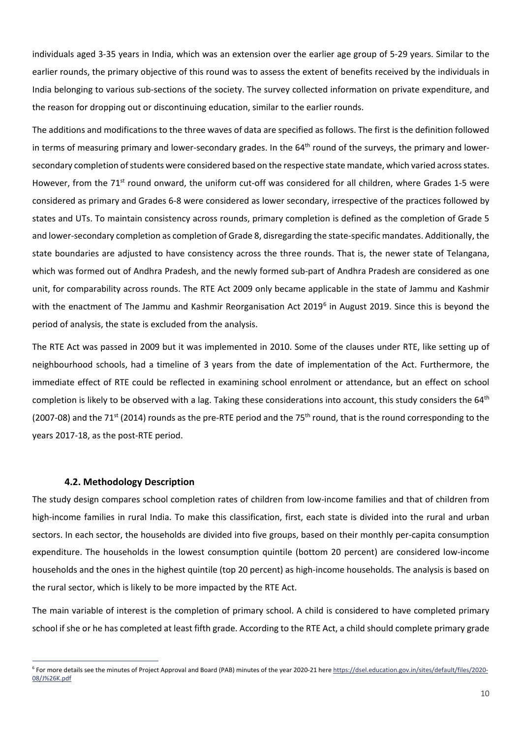individuals aged 3-35 years in India, which was an extension over the earlier age group of 5-29 years. Similar to the earlier rounds, the primary objective of this round was to assess the extent of benefits received by the individuals in India belonging to various sub-sections of the society. The survey collected information on private expenditure, and the reason for dropping out or discontinuing education, similar to the earlier rounds.

The additions and modifications to the three waves of data are specified as follows. The first is the definition followed in terms of measuring primary and lower-secondary grades. In the  $64<sup>th</sup>$  round of the surveys, the primary and lowersecondary completion of students were considered based on the respective state mandate, which varied across states. However, from the 71<sup>st</sup> round onward, the uniform cut-off was considered for all children, where Grades 1-5 were considered as primary and Grades 6-8 were considered as lower secondary, irrespective of the practices followed by states and UTs. To maintain consistency across rounds, primary completion is defined as the completion of Grade 5 and lower-secondary completion as completion of Grade 8, disregarding the state-specific mandates. Additionally, the state boundaries are adjusted to have consistency across the three rounds. That is, the newer state of Telangana, which was formed out of Andhra Pradesh, and the newly formed sub-part of Andhra Pradesh are considered as one unit, for comparability across rounds. The RTE Act 2009 only became applicable in the state of Jammu and Kashmir with the enactment of The Jammu and Kashmir Reorganisation Act 2019<sup>[6](#page-10-1)</sup> in August 2019. Since this is beyond the period of analysis, the state is excluded from the analysis.

The RTE Act was passed in 2009 but it was implemented in 2010. Some of the clauses under RTE, like setting up of neighbourhood schools, had a timeline of 3 years from the date of implementation of the Act. Furthermore, the immediate effect of RTE could be reflected in examining school enrolment or attendance, but an effect on school completion is likely to be observed with a lag. Taking these considerations into account, this study considers the  $64<sup>th</sup>$ (2007-08) and the 71<sup>st</sup> (2014) rounds as the pre-RTE period and the 75<sup>th</sup> round, that is the round corresponding to the years 2017-18, as the post-RTE period.

#### <span id="page-10-0"></span>**4.2. Methodology Description**

The study design compares school completion rates of children from low-income families and that of children from high-income families in rural India. To make this classification, first, each state is divided into the rural and urban sectors. In each sector, the households are divided into five groups, based on their monthly per-capita consumption expenditure. The households in the lowest consumption quintile (bottom 20 percent) are considered low-income households and the ones in the highest quintile (top 20 percent) as high-income households. The analysis is based on the rural sector, which is likely to be more impacted by the RTE Act.

The main variable of interest is the completion of primary school. A child is considered to have completed primary school if she or he has completed at least fifth grade. According to the RTE Act, a child should complete primary grade

<span id="page-10-1"></span><sup>&</sup>lt;sup>6</sup> For more details see the minutes of Project Approval and Board (PAB) minutes of the year 2020-21 her[e https://dsel.education.gov.in/sites/default/files/2020-](https://dsel.education.gov.in/sites/default/files/2020-08/J%26K.pdf) [08/J%26K.pdf](https://dsel.education.gov.in/sites/default/files/2020-08/J%26K.pdf)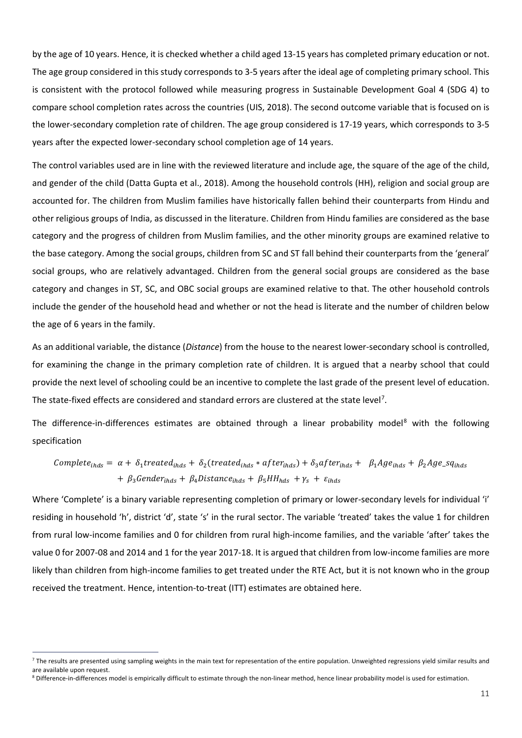by the age of 10 years. Hence, it is checked whether a child aged 13-15 years has completed primary education or not. The age group considered in this study corresponds to 3-5 years after the ideal age of completing primary school. This is consistent with the protocol followed while measuring progress in Sustainable Development Goal 4 (SDG 4) to compare school completion rates across the countries (UIS, 2018). The second outcome variable that is focused on is the lower-secondary completion rate of children. The age group considered is 17-19 years, which corresponds to 3-5 years after the expected lower-secondary school completion age of 14 years.

The control variables used are in line with the reviewed literature and include age, the square of the age of the child, and gender of the child (Datta Gupta et al., 2018). Among the household controls (HH), religion and social group are accounted for. The children from Muslim families have historically fallen behind their counterparts from Hindu and other religious groups of India, as discussed in the literature. Children from Hindu families are considered as the base category and the progress of children from Muslim families, and the other minority groups are examined relative to the base category. Among the social groups, children from SC and ST fall behind their counterparts from the 'general' social groups, who are relatively advantaged. Children from the general social groups are considered as the base category and changes in ST, SC, and OBC social groups are examined relative to that. The other household controls include the gender of the household head and whether or not the head is literate and the number of children below the age of 6 years in the family.

As an additional variable, the distance (*Distance*) from the house to the nearest lower-secondary school is controlled, for examining the change in the primary completion rate of children. It is argued that a nearby school that could provide the next level of schooling could be an incentive to complete the last grade of the present level of education. The state-fixed effects are considered and standard errors are clustered at the state level<sup>[7](#page-11-0)</sup>.

The difference-in-differences estimates are obtained through a linear probability model<sup>[8](#page-11-1)</sup> with the following specification

$$
Complete_{\text{inds}} = \alpha + \delta_1 treated_{\text{inds}} + \delta_2 (treated_{\text{inds}} * after_{\text{inds}}) + \delta_3 after_{\text{inds}} + \beta_1 Age_{\text{inds}} + \beta_2 Age\_sq_{\text{inds}} + \beta_3 Gender_{\text{inds}} + \beta_4 Distance_{\text{inds}} + \beta_5 HH_{\text{inds}} + \gamma_s + \varepsilon_{\text{inds}}
$$

Where 'Complete' is a binary variable representing completion of primary or lower-secondary levels for individual 'i' residing in household 'h', district 'd', state 's' in the rural sector. The variable 'treated' takes the value 1 for children from rural low-income families and 0 for children from rural high-income families, and the variable 'after' takes the value 0 for 2007-08 and 2014 and 1 for the year 2017-18. It is argued that children from low-income families are more likely than children from high-income families to get treated under the RTE Act, but it is not known who in the group received the treatment. Hence, intention-to-treat (ITT) estimates are obtained here.

<span id="page-11-0"></span> $7$  The results are presented using sampling weights in the main text for representation of the entire population. Unweighted regressions yield similar results and are available upon request.

<span id="page-11-1"></span><sup>&</sup>lt;sup>8</sup> Difference-in-differences model is empirically difficult to estimate through the non-linear method, hence linear probability model is used for estimation.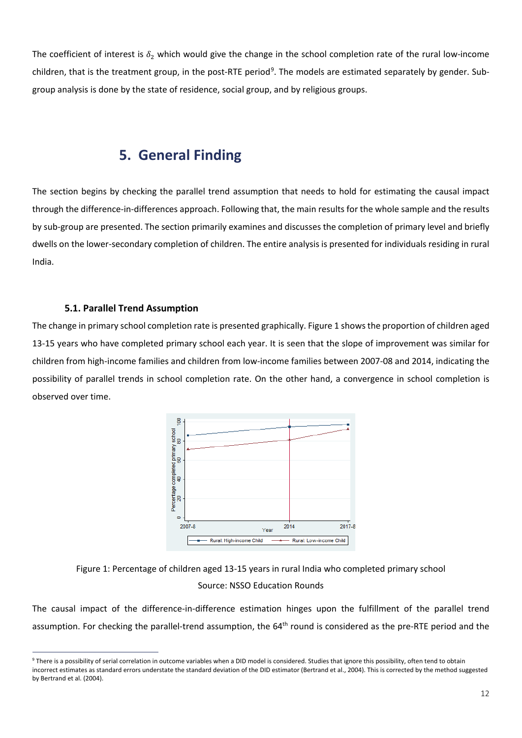The coefficient of interest is  $\delta_2$  which would give the change in the school completion rate of the rural low-income children, that is the treatment group, in the post-RTE period<sup>[9](#page-12-2)</sup>. The models are estimated separately by gender. Subgroup analysis is done by the state of residence, social group, and by religious groups.

### <span id="page-12-0"></span>**5. General Finding**

The section begins by checking the parallel trend assumption that needs to hold for estimating the causal impact through the difference-in-differences approach. Following that, the main results for the whole sample and the results by sub-group are presented. The section primarily examines and discusses the completion of primary level and briefly dwells on the lower-secondary completion of children. The entire analysis is presented for individuals residing in rural India.

#### <span id="page-12-1"></span>**5.1. Parallel Trend Assumption**

The change in primary school completion rate is presented graphically. Figure 1 shows the proportion of children aged 13-15 years who have completed primary school each year. It is seen that the slope of improvement was similar for children from high-income families and children from low-income families between 2007-08 and 2014, indicating the possibility of parallel trends in school completion rate. On the other hand, a convergence in school completion is observed over time.





The causal impact of the difference-in-difference estimation hinges upon the fulfillment of the parallel trend assumption. For checking the parallel-trend assumption, the 64<sup>th</sup> round is considered as the pre-RTE period and the

<span id="page-12-2"></span><sup>&</sup>lt;sup>9</sup> There is a possibility of serial correlation in outcome variables when a DID model is considered. Studies that ignore this possibility, often tend to obtain incorrect estimates as standard errors understate the standard deviation of the DID estimator (Bertrand et al., 2004). This is corrected by the method suggested by Bertrand et al. (2004).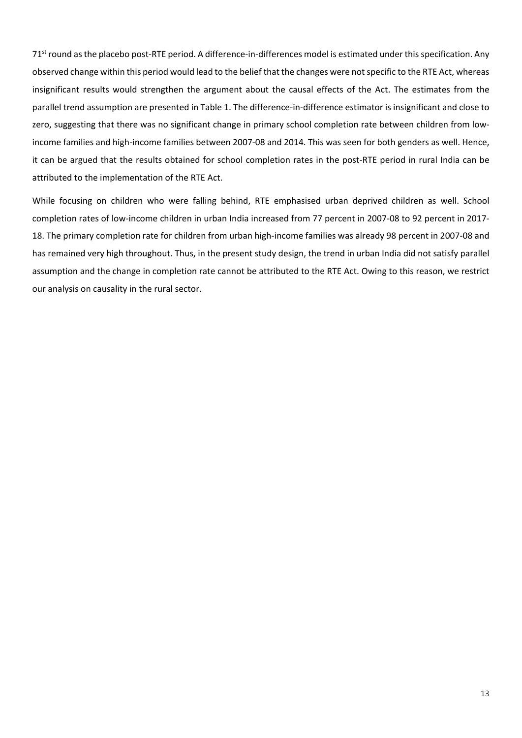$71<sup>st</sup>$  round as the placebo post-RTE period. A difference-in-differences model is estimated under this specification. Any observed change within this period would lead to the belief that the changes were not specific to the RTE Act, whereas insignificant results would strengthen the argument about the causal effects of the Act. The estimates from the parallel trend assumption are presented in Table 1. The difference-in-difference estimator is insignificant and close to zero, suggesting that there was no significant change in primary school completion rate between children from lowincome families and high-income families between 2007-08 and 2014. This was seen for both genders as well. Hence, it can be argued that the results obtained for school completion rates in the post-RTE period in rural India can be attributed to the implementation of the RTE Act.

While focusing on children who were falling behind, RTE emphasised urban deprived children as well. School completion rates of low-income children in urban India increased from 77 percent in 2007-08 to 92 percent in 2017- 18. The primary completion rate for children from urban high-income families was already 98 percent in 2007-08 and has remained very high throughout. Thus, in the present study design, the trend in urban India did not satisfy parallel assumption and the change in completion rate cannot be attributed to the RTE Act. Owing to this reason, we restrict our analysis on causality in the rural sector.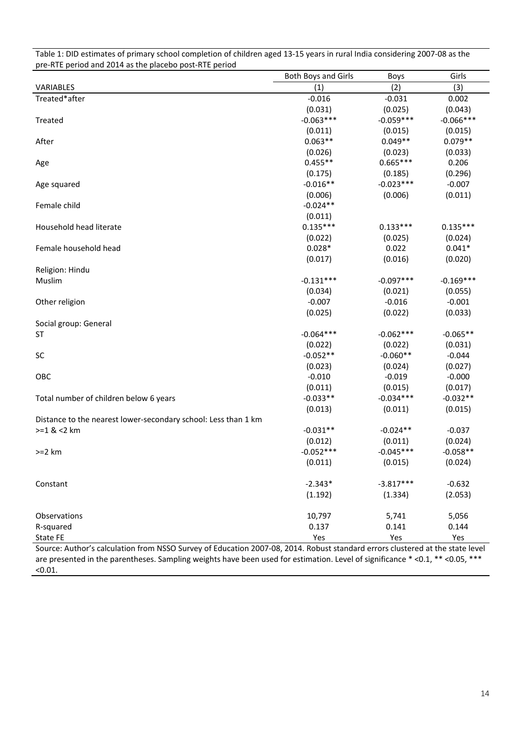| pre-Rife period and 2014 as the placebo post-Rife period                                                                      |                            |             |             |
|-------------------------------------------------------------------------------------------------------------------------------|----------------------------|-------------|-------------|
|                                                                                                                               | <b>Both Boys and Girls</b> | <b>Boys</b> | Girls       |
| VARIABLES                                                                                                                     | (1)                        | (2)         | (3)         |
| Treated*after                                                                                                                 | $-0.016$                   | $-0.031$    | 0.002       |
|                                                                                                                               | (0.031)                    | (0.025)     | (0.043)     |
| Treated                                                                                                                       | $-0.063***$                | $-0.059***$ | $-0.066***$ |
|                                                                                                                               | (0.011)                    | (0.015)     | (0.015)     |
| After                                                                                                                         | $0.063**$                  | $0.049**$   | $0.079**$   |
|                                                                                                                               | (0.026)                    | (0.023)     | (0.033)     |
| Age                                                                                                                           | $0.455**$                  | $0.665***$  | 0.206       |
|                                                                                                                               | (0.175)                    | (0.185)     | (0.296)     |
| Age squared                                                                                                                   | $-0.016**$                 | $-0.023***$ | $-0.007$    |
|                                                                                                                               | (0.006)                    | (0.006)     | (0.011)     |
| Female child                                                                                                                  | $-0.024**$                 |             |             |
|                                                                                                                               | (0.011)                    |             |             |
| Household head literate                                                                                                       | $0.135***$                 | $0.133***$  | $0.135***$  |
|                                                                                                                               | (0.022)                    | (0.025)     | (0.024)     |
| Female household head                                                                                                         | $0.028*$                   | 0.022       | $0.041*$    |
|                                                                                                                               | (0.017)                    | (0.016)     | (0.020)     |
| Religion: Hindu                                                                                                               |                            |             |             |
| Muslim                                                                                                                        | $-0.131***$                | $-0.097***$ | $-0.169***$ |
|                                                                                                                               | (0.034)                    | (0.021)     | (0.055)     |
| Other religion                                                                                                                | $-0.007$                   | $-0.016$    | $-0.001$    |
|                                                                                                                               | (0.025)                    | (0.022)     | (0.033)     |
| Social group: General                                                                                                         |                            |             |             |
| <b>ST</b>                                                                                                                     | $-0.064***$                | $-0.062***$ | $-0.065**$  |
|                                                                                                                               | (0.022)                    | (0.022)     | (0.031)     |
| SC                                                                                                                            | $-0.052**$                 | $-0.060**$  | $-0.044$    |
|                                                                                                                               | (0.023)                    | (0.024)     | (0.027)     |
| OBC                                                                                                                           | $-0.010$                   | $-0.019$    | $-0.000$    |
|                                                                                                                               | (0.011)                    | (0.015)     | (0.017)     |
| Total number of children below 6 years                                                                                        | $-0.033**$                 | $-0.034***$ | $-0.032**$  |
|                                                                                                                               | (0.013)                    | (0.011)     | (0.015)     |
| Distance to the nearest lower-secondary school: Less than 1 km                                                                |                            |             |             |
| $>=1$ & $<$ 2 km                                                                                                              | $-0.031**$                 | $-0.024**$  | $-0.037$    |
|                                                                                                                               | (0.012)                    | (0.011)     | (0.024)     |
| $>=2 km$                                                                                                                      | $-0.052***$                | $-0.045***$ | $-0.058**$  |
|                                                                                                                               | (0.011)                    | (0.015)     | (0.024)     |
|                                                                                                                               |                            |             |             |
| Constant                                                                                                                      | $-2.343*$                  | $-3.817***$ | $-0.632$    |
|                                                                                                                               | (1.192)                    | (1.334)     | (2.053)     |
|                                                                                                                               |                            |             |             |
| Observations                                                                                                                  | 10,797                     | 5,741       | 5,056       |
| R-squared                                                                                                                     | 0.137                      | 0.141       | 0.144       |
| State FE                                                                                                                      | Yes                        | Yes         | Yes         |
| Course: Author's salsulation from NSSO Survey of Education 2007 08, 2014. Robust standard errors slustered at the state level |                            |             |             |

Table 1: DID estimates of primary school completion of children aged 13-15 years in rural India considering 2007-08 as the<br>area BTE posiad and 2014 as the placebe post BTE posiad pre-RTE period and 2014 as the placebo post-RTE period

Source: Author's calculation from NSSO Survey of Education 2007-08, 2014. Robust standard errors clustered at the state level are presented in the parentheses. Sampling weights have been used for estimation. Level of significance \* <0.1, \*\* <0.05, \*\*\* <0.01.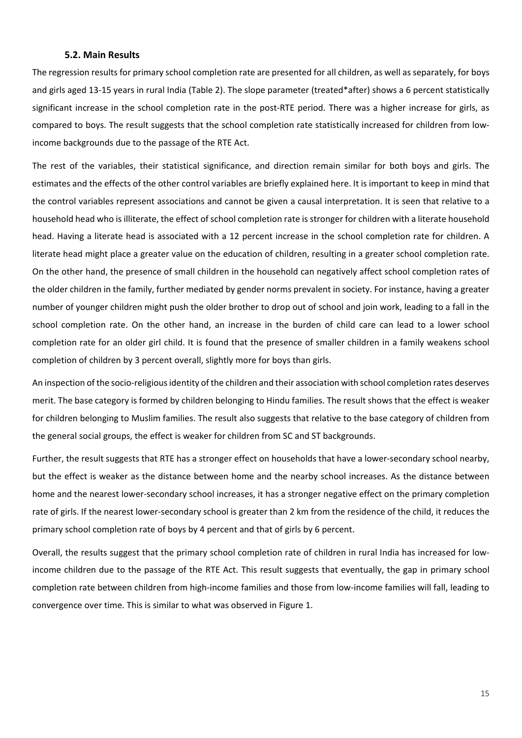#### <span id="page-15-0"></span>**5.2. Main Results**

The regression results for primary school completion rate are presented for all children, as well as separately, for boys and girls aged 13-15 years in rural India (Table 2). The slope parameter (treated\*after) shows a 6 percent statistically significant increase in the school completion rate in the post-RTE period. There was a higher increase for girls, as compared to boys. The result suggests that the school completion rate statistically increased for children from lowincome backgrounds due to the passage of the RTE Act.

The rest of the variables, their statistical significance, and direction remain similar for both boys and girls. The estimates and the effects of the other control variables are briefly explained here. It is important to keep in mind that the control variables represent associations and cannot be given a causal interpretation. It is seen that relative to a household head who is illiterate, the effect of school completion rate is stronger for children with a literate household head. Having a literate head is associated with a 12 percent increase in the school completion rate for children. A literate head might place a greater value on the education of children, resulting in a greater school completion rate. On the other hand, the presence of small children in the household can negatively affect school completion rates of the older children in the family, further mediated by gender norms prevalent in society. For instance, having a greater number of younger children might push the older brother to drop out of school and join work, leading to a fall in the school completion rate. On the other hand, an increase in the burden of child care can lead to a lower school completion rate for an older girl child. It is found that the presence of smaller children in a family weakens school completion of children by 3 percent overall, slightly more for boys than girls.

An inspection of the socio-religious identity of the children and their association with school completion rates deserves merit. The base category is formed by children belonging to Hindu families. The result shows that the effect is weaker for children belonging to Muslim families. The result also suggests that relative to the base category of children from the general social groups, the effect is weaker for children from SC and ST backgrounds.

Further, the result suggests that RTE has a stronger effect on households that have a lower-secondary school nearby, but the effect is weaker as the distance between home and the nearby school increases. As the distance between home and the nearest lower-secondary school increases, it has a stronger negative effect on the primary completion rate of girls. If the nearest lower-secondary school is greater than 2 km from the residence of the child, it reduces the primary school completion rate of boys by 4 percent and that of girls by 6 percent.

Overall, the results suggest that the primary school completion rate of children in rural India has increased for lowincome children due to the passage of the RTE Act. This result suggests that eventually, the gap in primary school completion rate between children from high-income families and those from low-income families will fall, leading to convergence over time. This is similar to what was observed in Figure 1.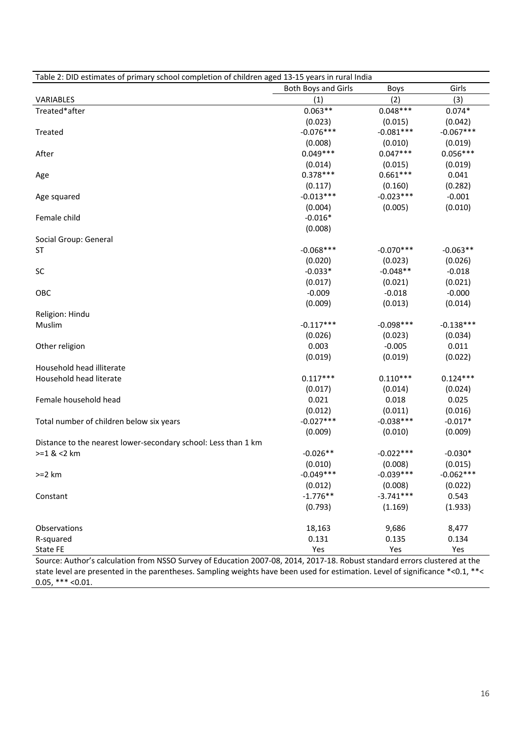| <b>Both Boys and Girls</b><br>Girls<br>Boys<br>(2)<br>(3)<br>(1)<br>VARIABLES<br>Treated*after<br>$0.048***$<br>$0.063**$<br>$0.074*$<br>(0.023)<br>(0.015)<br>(0.042)<br>$-0.076***$<br>$-0.081***$<br>$-0.067***$<br>Treated<br>(0.008)<br>(0.010)<br>(0.019)<br>$0.049***$<br>$0.047***$<br>$0.056***$<br>After<br>(0.014)<br>(0.015)<br>(0.019)<br>$0.378***$<br>$0.661***$<br>0.041<br>Age<br>(0.117)<br>(0.282)<br>(0.160)<br>$-0.013***$<br>$-0.023***$<br>$-0.001$<br>Age squared<br>(0.005)<br>(0.010)<br>(0.004)<br>$-0.016*$<br>Female child<br>(0.008)<br>Social Group: General<br>$-0.068***$<br>$-0.070***$<br>$-0.063**$<br><b>ST</b><br>(0.020)<br>(0.023)<br>(0.026)<br>$-0.048**$<br>$-0.033*$<br><b>SC</b><br>$-0.018$<br>(0.017)<br>(0.021)<br>(0.021)<br>OBC<br>$-0.009$<br>$-0.018$<br>$-0.000$<br>(0.009)<br>(0.013)<br>(0.014)<br>Religion: Hindu<br>$-0.098***$<br>$-0.117***$<br>$-0.138***$<br>Muslim<br>(0.026)<br>(0.023)<br>(0.034)<br>0.003<br>$-0.005$<br>0.011<br>Other religion<br>(0.019)<br>(0.019)<br>(0.022)<br>Household head illiterate<br>$0.110***$<br>Household head literate<br>$0.117***$<br>$0.124***$<br>(0.017)<br>(0.014)<br>(0.024)<br>0.021<br>0.018<br>0.025<br>Female household head<br>(0.012)<br>(0.011)<br>(0.016)<br>$-0.027***$<br>$-0.038***$<br>$-0.017*$<br>Total number of children below six years<br>(0.009)<br>(0.010)<br>(0.009)<br>Distance to the nearest lower-secondary school: Less than 1 km<br>$>=1$ & $<$ 2 km<br>$-0.022***$<br>$-0.026**$<br>$-0.030*$<br>(0.010)<br>(0.015)<br>(0.008)<br>$-0.049***$<br>$-0.039***$<br>$-0.062***$<br>$>=2 km$<br>(0.012)<br>(0.008)<br>(0.022)<br>$-3.741***$<br>$-1.776**$<br>0.543<br>Constant<br>(1.933)<br>(0.793)<br>(1.169)<br>Observations<br>18,163<br>9,686<br>8,477<br>R-squared<br>0.131<br>0.135<br>0.134<br>State FE<br>Yes<br>Yes<br>Yes | Table 2: DID estimates of primary school completion of children aged 13-15 years in rural India |  |  |
|-----------------------------------------------------------------------------------------------------------------------------------------------------------------------------------------------------------------------------------------------------------------------------------------------------------------------------------------------------------------------------------------------------------------------------------------------------------------------------------------------------------------------------------------------------------------------------------------------------------------------------------------------------------------------------------------------------------------------------------------------------------------------------------------------------------------------------------------------------------------------------------------------------------------------------------------------------------------------------------------------------------------------------------------------------------------------------------------------------------------------------------------------------------------------------------------------------------------------------------------------------------------------------------------------------------------------------------------------------------------------------------------------------------------------------------------------------------------------------------------------------------------------------------------------------------------------------------------------------------------------------------------------------------------------------------------------------------------------------------------------------------------------------------------------------------------------------------------------------------------------|-------------------------------------------------------------------------------------------------|--|--|
|                                                                                                                                                                                                                                                                                                                                                                                                                                                                                                                                                                                                                                                                                                                                                                                                                                                                                                                                                                                                                                                                                                                                                                                                                                                                                                                                                                                                                                                                                                                                                                                                                                                                                                                                                                                                                                                                       |                                                                                                 |  |  |
|                                                                                                                                                                                                                                                                                                                                                                                                                                                                                                                                                                                                                                                                                                                                                                                                                                                                                                                                                                                                                                                                                                                                                                                                                                                                                                                                                                                                                                                                                                                                                                                                                                                                                                                                                                                                                                                                       |                                                                                                 |  |  |
|                                                                                                                                                                                                                                                                                                                                                                                                                                                                                                                                                                                                                                                                                                                                                                                                                                                                                                                                                                                                                                                                                                                                                                                                                                                                                                                                                                                                                                                                                                                                                                                                                                                                                                                                                                                                                                                                       |                                                                                                 |  |  |
|                                                                                                                                                                                                                                                                                                                                                                                                                                                                                                                                                                                                                                                                                                                                                                                                                                                                                                                                                                                                                                                                                                                                                                                                                                                                                                                                                                                                                                                                                                                                                                                                                                                                                                                                                                                                                                                                       |                                                                                                 |  |  |
|                                                                                                                                                                                                                                                                                                                                                                                                                                                                                                                                                                                                                                                                                                                                                                                                                                                                                                                                                                                                                                                                                                                                                                                                                                                                                                                                                                                                                                                                                                                                                                                                                                                                                                                                                                                                                                                                       |                                                                                                 |  |  |
|                                                                                                                                                                                                                                                                                                                                                                                                                                                                                                                                                                                                                                                                                                                                                                                                                                                                                                                                                                                                                                                                                                                                                                                                                                                                                                                                                                                                                                                                                                                                                                                                                                                                                                                                                                                                                                                                       |                                                                                                 |  |  |
|                                                                                                                                                                                                                                                                                                                                                                                                                                                                                                                                                                                                                                                                                                                                                                                                                                                                                                                                                                                                                                                                                                                                                                                                                                                                                                                                                                                                                                                                                                                                                                                                                                                                                                                                                                                                                                                                       |                                                                                                 |  |  |
|                                                                                                                                                                                                                                                                                                                                                                                                                                                                                                                                                                                                                                                                                                                                                                                                                                                                                                                                                                                                                                                                                                                                                                                                                                                                                                                                                                                                                                                                                                                                                                                                                                                                                                                                                                                                                                                                       |                                                                                                 |  |  |
|                                                                                                                                                                                                                                                                                                                                                                                                                                                                                                                                                                                                                                                                                                                                                                                                                                                                                                                                                                                                                                                                                                                                                                                                                                                                                                                                                                                                                                                                                                                                                                                                                                                                                                                                                                                                                                                                       |                                                                                                 |  |  |
|                                                                                                                                                                                                                                                                                                                                                                                                                                                                                                                                                                                                                                                                                                                                                                                                                                                                                                                                                                                                                                                                                                                                                                                                                                                                                                                                                                                                                                                                                                                                                                                                                                                                                                                                                                                                                                                                       |                                                                                                 |  |  |
|                                                                                                                                                                                                                                                                                                                                                                                                                                                                                                                                                                                                                                                                                                                                                                                                                                                                                                                                                                                                                                                                                                                                                                                                                                                                                                                                                                                                                                                                                                                                                                                                                                                                                                                                                                                                                                                                       |                                                                                                 |  |  |
|                                                                                                                                                                                                                                                                                                                                                                                                                                                                                                                                                                                                                                                                                                                                                                                                                                                                                                                                                                                                                                                                                                                                                                                                                                                                                                                                                                                                                                                                                                                                                                                                                                                                                                                                                                                                                                                                       |                                                                                                 |  |  |
|                                                                                                                                                                                                                                                                                                                                                                                                                                                                                                                                                                                                                                                                                                                                                                                                                                                                                                                                                                                                                                                                                                                                                                                                                                                                                                                                                                                                                                                                                                                                                                                                                                                                                                                                                                                                                                                                       |                                                                                                 |  |  |
|                                                                                                                                                                                                                                                                                                                                                                                                                                                                                                                                                                                                                                                                                                                                                                                                                                                                                                                                                                                                                                                                                                                                                                                                                                                                                                                                                                                                                                                                                                                                                                                                                                                                                                                                                                                                                                                                       |                                                                                                 |  |  |
|                                                                                                                                                                                                                                                                                                                                                                                                                                                                                                                                                                                                                                                                                                                                                                                                                                                                                                                                                                                                                                                                                                                                                                                                                                                                                                                                                                                                                                                                                                                                                                                                                                                                                                                                                                                                                                                                       |                                                                                                 |  |  |
|                                                                                                                                                                                                                                                                                                                                                                                                                                                                                                                                                                                                                                                                                                                                                                                                                                                                                                                                                                                                                                                                                                                                                                                                                                                                                                                                                                                                                                                                                                                                                                                                                                                                                                                                                                                                                                                                       |                                                                                                 |  |  |
|                                                                                                                                                                                                                                                                                                                                                                                                                                                                                                                                                                                                                                                                                                                                                                                                                                                                                                                                                                                                                                                                                                                                                                                                                                                                                                                                                                                                                                                                                                                                                                                                                                                                                                                                                                                                                                                                       |                                                                                                 |  |  |
|                                                                                                                                                                                                                                                                                                                                                                                                                                                                                                                                                                                                                                                                                                                                                                                                                                                                                                                                                                                                                                                                                                                                                                                                                                                                                                                                                                                                                                                                                                                                                                                                                                                                                                                                                                                                                                                                       |                                                                                                 |  |  |
|                                                                                                                                                                                                                                                                                                                                                                                                                                                                                                                                                                                                                                                                                                                                                                                                                                                                                                                                                                                                                                                                                                                                                                                                                                                                                                                                                                                                                                                                                                                                                                                                                                                                                                                                                                                                                                                                       |                                                                                                 |  |  |
|                                                                                                                                                                                                                                                                                                                                                                                                                                                                                                                                                                                                                                                                                                                                                                                                                                                                                                                                                                                                                                                                                                                                                                                                                                                                                                                                                                                                                                                                                                                                                                                                                                                                                                                                                                                                                                                                       |                                                                                                 |  |  |
|                                                                                                                                                                                                                                                                                                                                                                                                                                                                                                                                                                                                                                                                                                                                                                                                                                                                                                                                                                                                                                                                                                                                                                                                                                                                                                                                                                                                                                                                                                                                                                                                                                                                                                                                                                                                                                                                       |                                                                                                 |  |  |
|                                                                                                                                                                                                                                                                                                                                                                                                                                                                                                                                                                                                                                                                                                                                                                                                                                                                                                                                                                                                                                                                                                                                                                                                                                                                                                                                                                                                                                                                                                                                                                                                                                                                                                                                                                                                                                                                       |                                                                                                 |  |  |
|                                                                                                                                                                                                                                                                                                                                                                                                                                                                                                                                                                                                                                                                                                                                                                                                                                                                                                                                                                                                                                                                                                                                                                                                                                                                                                                                                                                                                                                                                                                                                                                                                                                                                                                                                                                                                                                                       |                                                                                                 |  |  |
|                                                                                                                                                                                                                                                                                                                                                                                                                                                                                                                                                                                                                                                                                                                                                                                                                                                                                                                                                                                                                                                                                                                                                                                                                                                                                                                                                                                                                                                                                                                                                                                                                                                                                                                                                                                                                                                                       |                                                                                                 |  |  |
|                                                                                                                                                                                                                                                                                                                                                                                                                                                                                                                                                                                                                                                                                                                                                                                                                                                                                                                                                                                                                                                                                                                                                                                                                                                                                                                                                                                                                                                                                                                                                                                                                                                                                                                                                                                                                                                                       |                                                                                                 |  |  |
|                                                                                                                                                                                                                                                                                                                                                                                                                                                                                                                                                                                                                                                                                                                                                                                                                                                                                                                                                                                                                                                                                                                                                                                                                                                                                                                                                                                                                                                                                                                                                                                                                                                                                                                                                                                                                                                                       |                                                                                                 |  |  |
|                                                                                                                                                                                                                                                                                                                                                                                                                                                                                                                                                                                                                                                                                                                                                                                                                                                                                                                                                                                                                                                                                                                                                                                                                                                                                                                                                                                                                                                                                                                                                                                                                                                                                                                                                                                                                                                                       |                                                                                                 |  |  |
|                                                                                                                                                                                                                                                                                                                                                                                                                                                                                                                                                                                                                                                                                                                                                                                                                                                                                                                                                                                                                                                                                                                                                                                                                                                                                                                                                                                                                                                                                                                                                                                                                                                                                                                                                                                                                                                                       |                                                                                                 |  |  |
|                                                                                                                                                                                                                                                                                                                                                                                                                                                                                                                                                                                                                                                                                                                                                                                                                                                                                                                                                                                                                                                                                                                                                                                                                                                                                                                                                                                                                                                                                                                                                                                                                                                                                                                                                                                                                                                                       |                                                                                                 |  |  |
|                                                                                                                                                                                                                                                                                                                                                                                                                                                                                                                                                                                                                                                                                                                                                                                                                                                                                                                                                                                                                                                                                                                                                                                                                                                                                                                                                                                                                                                                                                                                                                                                                                                                                                                                                                                                                                                                       |                                                                                                 |  |  |
|                                                                                                                                                                                                                                                                                                                                                                                                                                                                                                                                                                                                                                                                                                                                                                                                                                                                                                                                                                                                                                                                                                                                                                                                                                                                                                                                                                                                                                                                                                                                                                                                                                                                                                                                                                                                                                                                       |                                                                                                 |  |  |
|                                                                                                                                                                                                                                                                                                                                                                                                                                                                                                                                                                                                                                                                                                                                                                                                                                                                                                                                                                                                                                                                                                                                                                                                                                                                                                                                                                                                                                                                                                                                                                                                                                                                                                                                                                                                                                                                       |                                                                                                 |  |  |
|                                                                                                                                                                                                                                                                                                                                                                                                                                                                                                                                                                                                                                                                                                                                                                                                                                                                                                                                                                                                                                                                                                                                                                                                                                                                                                                                                                                                                                                                                                                                                                                                                                                                                                                                                                                                                                                                       |                                                                                                 |  |  |
|                                                                                                                                                                                                                                                                                                                                                                                                                                                                                                                                                                                                                                                                                                                                                                                                                                                                                                                                                                                                                                                                                                                                                                                                                                                                                                                                                                                                                                                                                                                                                                                                                                                                                                                                                                                                                                                                       |                                                                                                 |  |  |
|                                                                                                                                                                                                                                                                                                                                                                                                                                                                                                                                                                                                                                                                                                                                                                                                                                                                                                                                                                                                                                                                                                                                                                                                                                                                                                                                                                                                                                                                                                                                                                                                                                                                                                                                                                                                                                                                       |                                                                                                 |  |  |
|                                                                                                                                                                                                                                                                                                                                                                                                                                                                                                                                                                                                                                                                                                                                                                                                                                                                                                                                                                                                                                                                                                                                                                                                                                                                                                                                                                                                                                                                                                                                                                                                                                                                                                                                                                                                                                                                       |                                                                                                 |  |  |
|                                                                                                                                                                                                                                                                                                                                                                                                                                                                                                                                                                                                                                                                                                                                                                                                                                                                                                                                                                                                                                                                                                                                                                                                                                                                                                                                                                                                                                                                                                                                                                                                                                                                                                                                                                                                                                                                       |                                                                                                 |  |  |
|                                                                                                                                                                                                                                                                                                                                                                                                                                                                                                                                                                                                                                                                                                                                                                                                                                                                                                                                                                                                                                                                                                                                                                                                                                                                                                                                                                                                                                                                                                                                                                                                                                                                                                                                                                                                                                                                       |                                                                                                 |  |  |
|                                                                                                                                                                                                                                                                                                                                                                                                                                                                                                                                                                                                                                                                                                                                                                                                                                                                                                                                                                                                                                                                                                                                                                                                                                                                                                                                                                                                                                                                                                                                                                                                                                                                                                                                                                                                                                                                       |                                                                                                 |  |  |
|                                                                                                                                                                                                                                                                                                                                                                                                                                                                                                                                                                                                                                                                                                                                                                                                                                                                                                                                                                                                                                                                                                                                                                                                                                                                                                                                                                                                                                                                                                                                                                                                                                                                                                                                                                                                                                                                       |                                                                                                 |  |  |
|                                                                                                                                                                                                                                                                                                                                                                                                                                                                                                                                                                                                                                                                                                                                                                                                                                                                                                                                                                                                                                                                                                                                                                                                                                                                                                                                                                                                                                                                                                                                                                                                                                                                                                                                                                                                                                                                       |                                                                                                 |  |  |
|                                                                                                                                                                                                                                                                                                                                                                                                                                                                                                                                                                                                                                                                                                                                                                                                                                                                                                                                                                                                                                                                                                                                                                                                                                                                                                                                                                                                                                                                                                                                                                                                                                                                                                                                                                                                                                                                       |                                                                                                 |  |  |
|                                                                                                                                                                                                                                                                                                                                                                                                                                                                                                                                                                                                                                                                                                                                                                                                                                                                                                                                                                                                                                                                                                                                                                                                                                                                                                                                                                                                                                                                                                                                                                                                                                                                                                                                                                                                                                                                       |                                                                                                 |  |  |

Source: Author's calculation from NSSO Survey of Education 2007-08, 2014, 2017-18. Robust standard errors clustered at the state level are presented in the parentheses. Sampling weights have been used for estimation. Level of significance \*<0.1, \*\*<  $0.05$ , \*\*\* <  $0.01$ .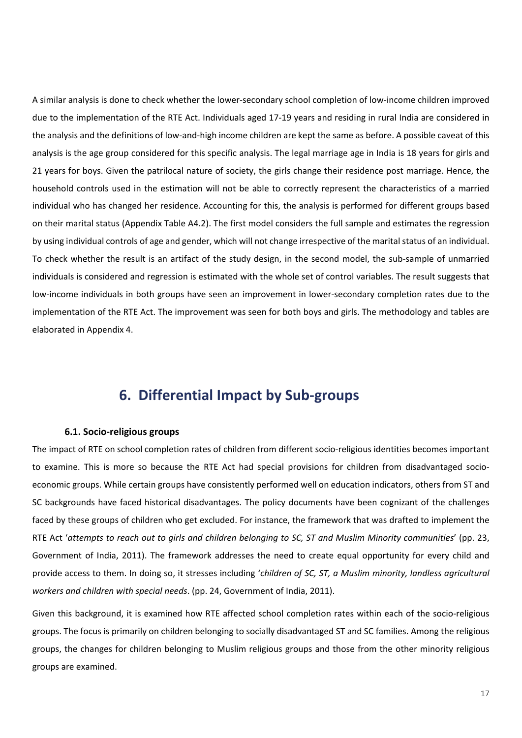A similar analysis is done to check whether the lower-secondary school completion of low-income children improved due to the implementation of the RTE Act. Individuals aged 17-19 years and residing in rural India are considered in the analysis and the definitions of low-and-high income children are kept the same as before. A possible caveat of this analysis is the age group considered for this specific analysis. The legal marriage age in India is 18 years for girls and 21 years for boys. Given the patrilocal nature of society, the girls change their residence post marriage. Hence, the household controls used in the estimation will not be able to correctly represent the characteristics of a married individual who has changed her residence. Accounting for this, the analysis is performed for different groups based on their marital status (Appendix Table A4.2). The first model considers the full sample and estimates the regression by using individual controls of age and gender, which will not change irrespective of the marital status of an individual. To check whether the result is an artifact of the study design, in the second model, the sub-sample of unmarried individuals is considered and regression is estimated with the whole set of control variables. The result suggests that low-income individuals in both groups have seen an improvement in lower-secondary completion rates due to the implementation of the RTE Act. The improvement was seen for both boys and girls. The methodology and tables are elaborated in Appendix 4.

### <span id="page-17-0"></span>**6. Differential Impact by Sub-groups**

#### <span id="page-17-1"></span>**6.1. Socio-religious groups**

The impact of RTE on school completion rates of children from different socio-religious identities becomes important to examine. This is more so because the RTE Act had special provisions for children from disadvantaged socioeconomic groups. While certain groups have consistently performed well on education indicators, others from ST and SC backgrounds have faced historical disadvantages. The policy documents have been cognizant of the challenges faced by these groups of children who get excluded. For instance, the framework that was drafted to implement the RTE Act '*attempts to reach out to girls and children belonging to SC, ST and Muslim Minority communities*' (pp. 23, Government of India, 2011). The framework addresses the need to create equal opportunity for every child and provide access to them. In doing so, it stresses including '*children of SC, ST, a Muslim minority, landless agricultural workers and children with special needs*. (pp. 24, Government of India, 2011).

Given this background, it is examined how RTE affected school completion rates within each of the socio-religious groups. The focus is primarily on children belonging to socially disadvantaged ST and SC families. Among the religious groups, the changes for children belonging to Muslim religious groups and those from the other minority religious groups are examined.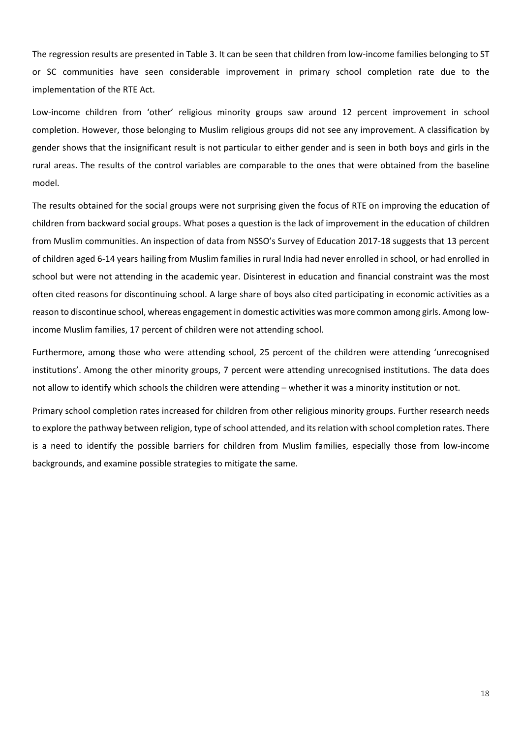The regression results are presented in Table 3. It can be seen that children from low-income families belonging to ST or SC communities have seen considerable improvement in primary school completion rate due to the implementation of the RTE Act.

Low-income children from 'other' religious minority groups saw around 12 percent improvement in school completion. However, those belonging to Muslim religious groups did not see any improvement. A classification by gender shows that the insignificant result is not particular to either gender and is seen in both boys and girls in the rural areas. The results of the control variables are comparable to the ones that were obtained from the baseline model.

The results obtained for the social groups were not surprising given the focus of RTE on improving the education of children from backward social groups. What poses a question is the lack of improvement in the education of children from Muslim communities. An inspection of data from NSSO's Survey of Education 2017-18 suggests that 13 percent of children aged 6-14 years hailing from Muslim families in rural India had never enrolled in school, or had enrolled in school but were not attending in the academic year. Disinterest in education and financial constraint was the most often cited reasons for discontinuing school. A large share of boys also cited participating in economic activities as a reason to discontinue school, whereas engagement in domestic activities was more common among girls. Among lowincome Muslim families, 17 percent of children were not attending school.

Furthermore, among those who were attending school, 25 percent of the children were attending 'unrecognised institutions'. Among the other minority groups, 7 percent were attending unrecognised institutions. The data does not allow to identify which schools the children were attending – whether it was a minority institution or not.

Primary school completion rates increased for children from other religious minority groups. Further research needs to explore the pathway between religion, type of school attended, and its relation with school completion rates. There is a need to identify the possible barriers for children from Muslim families, especially those from low-income backgrounds, and examine possible strategies to mitigate the same.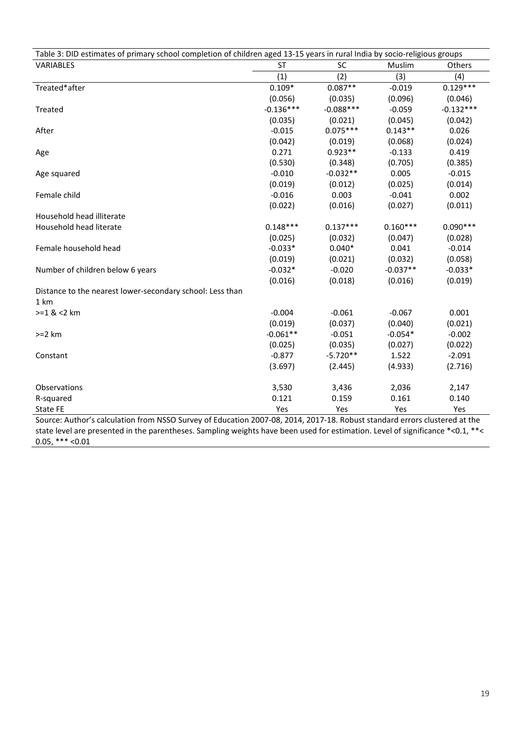| Table 3: DID estimates of primary school completion of children aged 13-15 years in rural India by socio-religious groups  |             |             |            |             |  |  |  |  |
|----------------------------------------------------------------------------------------------------------------------------|-------------|-------------|------------|-------------|--|--|--|--|
| VARIABLES                                                                                                                  | <b>ST</b>   | SC          | Muslim     | Others      |  |  |  |  |
|                                                                                                                            | (1)         | (2)         | (3)        | (4)         |  |  |  |  |
| Treated*after                                                                                                              | $0.109*$    | $0.087**$   | $-0.019$   | $0.129***$  |  |  |  |  |
|                                                                                                                            | (0.056)     | (0.035)     | (0.096)    | (0.046)     |  |  |  |  |
| Treated                                                                                                                    | $-0.136***$ | $-0.088***$ | $-0.059$   | $-0.132***$ |  |  |  |  |
|                                                                                                                            | (0.035)     | (0.021)     | (0.045)    | (0.042)     |  |  |  |  |
| After                                                                                                                      | $-0.015$    | $0.075***$  | $0.143**$  | 0.026       |  |  |  |  |
|                                                                                                                            | (0.042)     | (0.019)     | (0.068)    | (0.024)     |  |  |  |  |
| Age                                                                                                                        | 0.271       | $0.923**$   | $-0.133$   | 0.419       |  |  |  |  |
|                                                                                                                            | (0.530)     | (0.348)     | (0.705)    | (0.385)     |  |  |  |  |
| Age squared                                                                                                                | $-0.010$    | $-0.032**$  | 0.005      | $-0.015$    |  |  |  |  |
|                                                                                                                            | (0.019)     | (0.012)     | (0.025)    | (0.014)     |  |  |  |  |
| Female child                                                                                                               | $-0.016$    | 0.003       | $-0.041$   | 0.002       |  |  |  |  |
|                                                                                                                            | (0.022)     | (0.016)     | (0.027)    | (0.011)     |  |  |  |  |
| Household head illiterate                                                                                                  |             |             |            |             |  |  |  |  |
| Household head literate                                                                                                    | $0.148***$  | $0.137***$  | $0.160***$ | $0.090***$  |  |  |  |  |
|                                                                                                                            | (0.025)     | (0.032)     | (0.047)    | (0.028)     |  |  |  |  |
| Female household head                                                                                                      | $-0.033*$   | $0.040*$    | 0.041      | $-0.014$    |  |  |  |  |
|                                                                                                                            | (0.019)     | (0.021)     | (0.032)    | (0.058)     |  |  |  |  |
| Number of children below 6 years                                                                                           | $-0.032*$   | $-0.020$    | $-0.037**$ | $-0.033*$   |  |  |  |  |
|                                                                                                                            | (0.016)     | (0.018)     | (0.016)    | (0.019)     |  |  |  |  |
| Distance to the nearest lower-secondary school: Less than                                                                  |             |             |            |             |  |  |  |  |
| 1 km                                                                                                                       |             |             |            |             |  |  |  |  |
| $>=1$ & <2 km                                                                                                              | $-0.004$    | $-0.061$    | $-0.067$   | 0.001       |  |  |  |  |
|                                                                                                                            | (0.019)     | (0.037)     | (0.040)    | (0.021)     |  |  |  |  |
| $>=2 km$                                                                                                                   | $-0.061**$  | $-0.051$    | $-0.054*$  | $-0.002$    |  |  |  |  |
|                                                                                                                            | (0.025)     | (0.035)     | (0.027)    | (0.022)     |  |  |  |  |
| Constant                                                                                                                   | $-0.877$    | $-5.720**$  | 1.522      | $-2.091$    |  |  |  |  |
|                                                                                                                            | (3.697)     | (2.445)     | (4.933)    | (2.716)     |  |  |  |  |
|                                                                                                                            |             |             |            |             |  |  |  |  |
| Observations                                                                                                               | 3,530       | 3,436       | 2,036      | 2,147       |  |  |  |  |
| R-squared                                                                                                                  | 0.121       | 0.159       | 0.161      | 0.140       |  |  |  |  |
| State FE                                                                                                                   | Yes         | Yes         | Yes        | Yes         |  |  |  |  |
| Source: Author's calculation from NSSO Survey of Education 2007-08, 2014, 2017-18. Robust standard errors clustered at the |             |             |            |             |  |  |  |  |

state level are presented in the parentheses. Sampling weights have been used for estimation. Level of significance \*<0.1, \*\*< 0.05, \*\*\* <0.01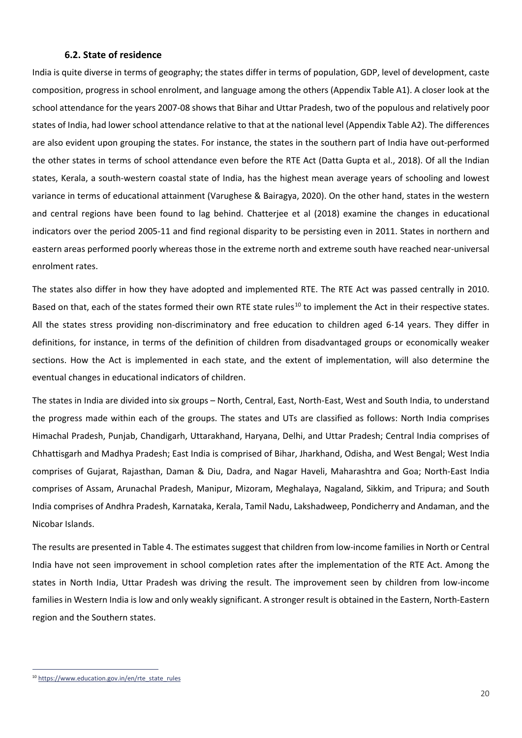#### <span id="page-20-0"></span>**6.2. State of residence**

India is quite diverse in terms of geography; the states differ in terms of population, GDP, level of development, caste composition, progress in school enrolment, and language among the others (Appendix Table A1). A closer look at the school attendance for the years 2007-08 shows that Bihar and Uttar Pradesh, two of the populous and relatively poor states of India, had lower school attendance relative to that at the national level (Appendix Table A2). The differences are also evident upon grouping the states. For instance, the states in the southern part of India have out-performed the other states in terms of school attendance even before the RTE Act (Datta Gupta et al., 2018). Of all the Indian states, Kerala, a south-western coastal state of India, has the highest mean average years of schooling and lowest variance in terms of educational attainment (Varughese & Bairagya, 2020). On the other hand, states in the western and central regions have been found to lag behind. Chatterjee et al (2018) examine the changes in educational indicators over the period 2005-11 and find regional disparity to be persisting even in 2011. States in northern and eastern areas performed poorly whereas those in the extreme north and extreme south have reached near-universal enrolment rates.

The states also differ in how they have adopted and implemented RTE. The RTE Act was passed centrally in 2010. Based on that, each of the states formed their own RTE state rules<sup>[10](#page-20-1)</sup> to implement the Act in their respective states. All the states stress providing non-discriminatory and free education to children aged 6-14 years. They differ in definitions, for instance, in terms of the definition of children from disadvantaged groups or economically weaker sections. How the Act is implemented in each state, and the extent of implementation, will also determine the eventual changes in educational indicators of children.

The states in India are divided into six groups – North, Central, East, North-East, West and South India, to understand the progress made within each of the groups. The states and UTs are classified as follows: North India comprises Himachal Pradesh, Punjab, Chandigarh, Uttarakhand, Haryana, Delhi, and Uttar Pradesh; Central India comprises of Chhattisgarh and Madhya Pradesh; East India is comprised of Bihar, Jharkhand, Odisha, and West Bengal; West India comprises of Gujarat, Rajasthan, Daman & Diu, Dadra, and Nagar Haveli, Maharashtra and Goa; North-East India comprises of Assam, Arunachal Pradesh, Manipur, Mizoram, Meghalaya, Nagaland, Sikkim, and Tripura; and South India comprises of Andhra Pradesh, Karnataka, Kerala, Tamil Nadu, Lakshadweep, Pondicherry and Andaman, and the Nicobar Islands.

The results are presented in Table 4. The estimates suggest that children from low-income families in North or Central India have not seen improvement in school completion rates after the implementation of the RTE Act. Among the states in North India, Uttar Pradesh was driving the result. The improvement seen by children from low-income families in Western India is low and only weakly significant. A stronger result is obtained in the Eastern, North-Eastern region and the Southern states.

<span id="page-20-1"></span><sup>&</sup>lt;sup>10</sup> https://www.education.gov.in/en/rte\_state\_rules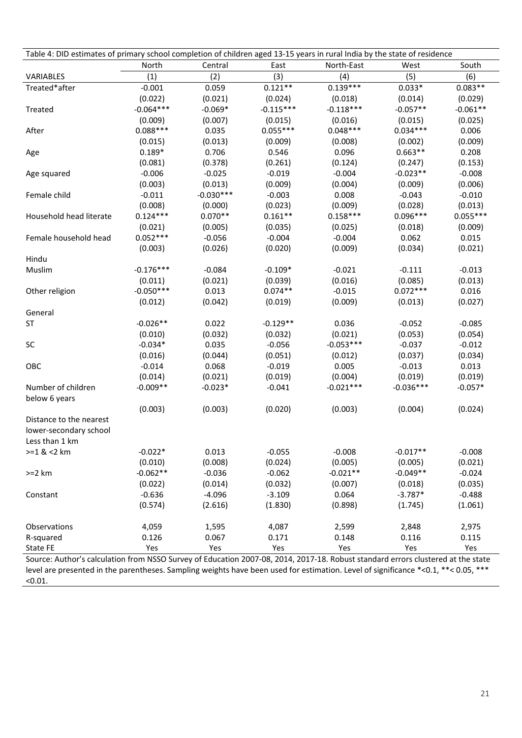| Table 4: DID estimates of primary school completion of children aged 13-15 years in rural India by the state of residence |             |             |             |             |             |            |
|---------------------------------------------------------------------------------------------------------------------------|-------------|-------------|-------------|-------------|-------------|------------|
|                                                                                                                           | North       | Central     | East        | North-East  | West        | South      |
| VARIABLES                                                                                                                 | (1)         | (2)         | (3)         | (4)         | (5)         | (6)        |
| Treated*after                                                                                                             | $-0.001$    | 0.059       | $0.121**$   | $0.139***$  | $0.033*$    | $0.083**$  |
|                                                                                                                           | (0.022)     | (0.021)     | (0.024)     | (0.018)     | (0.014)     | (0.029)    |
| Treated                                                                                                                   | $-0.064***$ | $-0.069*$   | $-0.115***$ | $-0.118***$ | $-0.057**$  | $-0.061**$ |
|                                                                                                                           | (0.009)     | (0.007)     | (0.015)     | (0.016)     | (0.015)     | (0.025)    |
| After                                                                                                                     | $0.088***$  | 0.035       | $0.055***$  | $0.048***$  | $0.034***$  | 0.006      |
|                                                                                                                           | (0.015)     | (0.013)     | (0.009)     | (0.008)     | (0.002)     | (0.009)    |
| Age                                                                                                                       | $0.189*$    | 0.706       | 0.546       | 0.096       | $0.663**$   | 0.208      |
|                                                                                                                           | (0.081)     | (0.378)     | (0.261)     | (0.124)     | (0.247)     | (0.153)    |
| Age squared                                                                                                               | $-0.006$    | $-0.025$    | $-0.019$    | $-0.004$    | $-0.023**$  | $-0.008$   |
|                                                                                                                           | (0.003)     | (0.013)     | (0.009)     | (0.004)     | (0.009)     | (0.006)    |
| Female child                                                                                                              | $-0.011$    | $-0.030***$ | $-0.003$    | 0.008       | $-0.043$    | $-0.010$   |
|                                                                                                                           | (0.008)     | (0.000)     | (0.023)     | (0.009)     | (0.028)     | (0.013)    |
| Household head literate                                                                                                   | $0.124***$  | $0.070**$   | $0.161**$   | $0.158***$  | $0.096***$  | $0.055***$ |
|                                                                                                                           | (0.021)     | (0.005)     | (0.035)     | (0.025)     | (0.018)     | (0.009)    |
| Female household head                                                                                                     | $0.052***$  | $-0.056$    | $-0.004$    | $-0.004$    | 0.062       | 0.015      |
|                                                                                                                           | (0.003)     | (0.026)     | (0.020)     | (0.009)     | (0.034)     | (0.021)    |
| Hindu                                                                                                                     |             |             |             |             |             |            |
| Muslim                                                                                                                    | $-0.176***$ | $-0.084$    | $-0.109*$   | $-0.021$    | $-0.111$    | $-0.013$   |
|                                                                                                                           | (0.011)     | (0.021)     | (0.039)     | (0.016)     | (0.085)     | (0.013)    |
| Other religion                                                                                                            | $-0.050***$ | 0.013       | $0.074**$   | $-0.015$    | $0.072***$  | 0.016      |
|                                                                                                                           | (0.012)     | (0.042)     | (0.019)     | (0.009)     | (0.013)     | (0.027)    |
| General                                                                                                                   |             |             |             |             |             |            |
| <b>ST</b>                                                                                                                 | $-0.026**$  | 0.022       | $-0.129**$  | 0.036       | $-0.052$    | $-0.085$   |
|                                                                                                                           | (0.010)     | (0.032)     | (0.032)     | (0.021)     | (0.053)     | (0.054)    |
| SC                                                                                                                        | $-0.034*$   | 0.035       | $-0.056$    | $-0.053***$ | $-0.037$    | $-0.012$   |
|                                                                                                                           | (0.016)     | (0.044)     | (0.051)     | (0.012)     | (0.037)     | (0.034)    |
| OBC                                                                                                                       | $-0.014$    | 0.068       | $-0.019$    | 0.005       | $-0.013$    | 0.013      |
|                                                                                                                           | (0.014)     | (0.021)     | (0.019)     | (0.004)     | (0.019)     | (0.019)    |
| Number of children                                                                                                        | $-0.009**$  | $-0.023*$   | $-0.041$    | $-0.021***$ | $-0.036***$ | $-0.057*$  |
| below 6 years                                                                                                             |             |             |             |             |             |            |
|                                                                                                                           | (0.003)     | (0.003)     | (0.020)     | (0.003)     | (0.004)     | (0.024)    |
| Distance to the nearest                                                                                                   |             |             |             |             |             |            |
| lower-secondary school                                                                                                    |             |             |             |             |             |            |
| Less than 1 km                                                                                                            |             |             |             |             |             |            |
| $>=1$ & <2 km                                                                                                             | $-0.022*$   | 0.013       | $-0.055$    | $-0.008$    | $-0.017**$  | $-0.008$   |
|                                                                                                                           | (0.010)     | (0.008)     | (0.024)     | (0.005)     | (0.005)     | (0.021)    |
| $>=2 km$                                                                                                                  | $-0.062**$  | $-0.036$    | $-0.062$    | $-0.021**$  | $-0.049**$  | $-0.024$   |
|                                                                                                                           | (0.022)     | (0.014)     | (0.032)     | (0.007)     | (0.018)     | (0.035)    |
| Constant                                                                                                                  | $-0.636$    | $-4.096$    | $-3.109$    | 0.064       | $-3.787*$   | $-0.488$   |
|                                                                                                                           | (0.574)     | (2.616)     | (1.830)     | (0.898)     | (1.745)     | (1.061)    |
|                                                                                                                           |             |             |             |             |             |            |
| Observations                                                                                                              | 4,059       | 1,595       | 4,087       | 2,599       | 2,848       | 2,975      |
| R-squared                                                                                                                 | 0.126       | 0.067       | 0.171       | 0.148       | 0.116       | 0.115      |
| State FE                                                                                                                  | Yes         | Yes         | Yes         | Yes         | Yes         | Yes        |

Source: Author's calculation from NSSO Survey of Education 2007-08, 2014, 2017-18. Robust standard errors clustered at the state level are presented in the parentheses. Sampling weights have been used for estimation. Level of significance \*<0.1, \*\*< 0.05, \*\*\*  $< 0.01$ .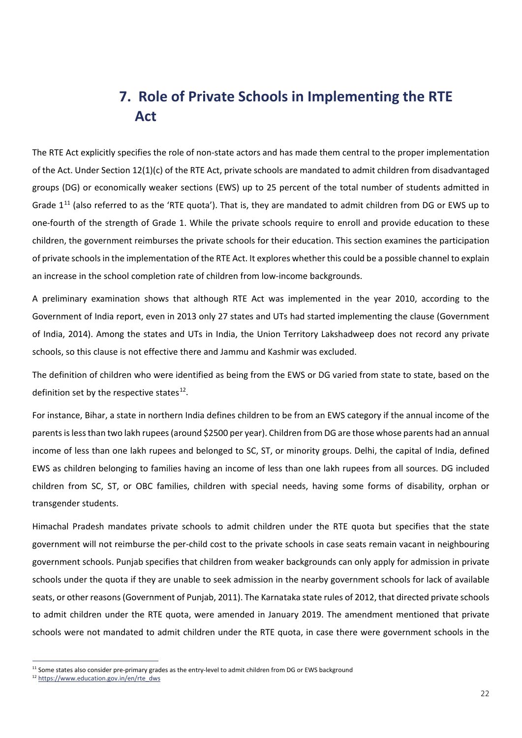### <span id="page-22-0"></span>**7. Role of Private Schools in Implementing the RTE Act**

The RTE Act explicitly specifies the role of non-state actors and has made them central to the proper implementation of the Act. Under Section 12(1)(c) of the RTE Act, private schools are mandated to admit children from disadvantaged groups (DG) or economically weaker sections (EWS) up to 25 percent of the total number of students admitted in Grade  $1<sup>11</sup>$  $1<sup>11</sup>$  $1<sup>11</sup>$  (also referred to as the 'RTE quota'). That is, they are mandated to admit children from DG or EWS up to one-fourth of the strength of Grade 1. While the private schools require to enroll and provide education to these children, the government reimburses the private schools for their education. This section examines the participation of private schools in the implementation of the RTE Act. It explores whether this could be a possible channel to explain an increase in the school completion rate of children from low-income backgrounds.

A preliminary examination shows that although RTE Act was implemented in the year 2010, according to the Government of India report, even in 2013 only 27 states and UTs had started implementing the clause (Government of India, 2014). Among the states and UTs in India, the Union Territory Lakshadweep does not record any private schools, so this clause is not effective there and Jammu and Kashmir was excluded.

The definition of children who were identified as being from the EWS or DG varied from state to state, based on the definition set by the respective states $^{12}$  $^{12}$  $^{12}$ .

For instance, Bihar, a state in northern India defines children to be from an EWS category if the annual income of the parents is less than two lakh rupees(around \$2500 per year). Children from DG are those whose parents had an annual income of less than one lakh rupees and belonged to SC, ST, or minority groups. Delhi, the capital of India, defined EWS as children belonging to families having an income of less than one lakh rupees from all sources. DG included children from SC, ST, or OBC families, children with special needs, having some forms of disability, orphan or transgender students.

Himachal Pradesh mandates private schools to admit children under the RTE quota but specifies that the state government will not reimburse the per-child cost to the private schools in case seats remain vacant in neighbouring government schools. Punjab specifies that children from weaker backgrounds can only apply for admission in private schools under the quota if they are unable to seek admission in the nearby government schools for lack of available seats, or other reasons(Government of Punjab, 2011). The Karnataka state rules of 2012, that directed private schools to admit children under the RTE quota, were amended in January 2019. The amendment mentioned that private schools were not mandated to admit children under the RTE quota, in case there were government schools in the

<span id="page-22-1"></span><sup>&</sup>lt;sup>11</sup> Some states also consider pre-primary grades as the entry-level to admit children from DG or EWS background

<span id="page-22-2"></span><sup>12</sup> [https://www.education.gov.in/en/rte\\_dws](https://www.education.gov.in/en/rte_dws)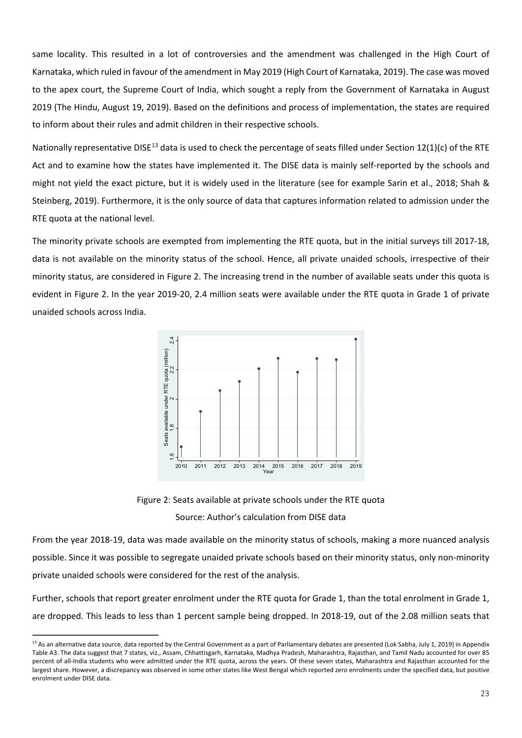same locality. This resulted in a lot of controversies and the amendment was challenged in the High Court of Karnataka, which ruled in favour of the amendment in May 2019 (High Court of Karnataka, 2019). The case was moved to the apex court, the Supreme Court of India, which sought a reply from the Government of Karnataka in August 2019 (The Hindu, August 19, 2019). Based on the definitions and process of implementation, the states are required to inform about their rules and admit children in their respective schools.

Nationally representative DISE<sup>[13](#page-23-0)</sup> data is used to check the percentage of seats filled under Section 12(1)(c) of the RTE Act and to examine how the states have implemented it. The DISE data is mainly self-reported by the schools and might not yield the exact picture, but it is widely used in the literature (see for example Sarin et al., 2018; Shah & Steinberg, 2019). Furthermore, it is the only source of data that captures information related to admission under the RTE quota at the national level.

The minority private schools are exempted from implementing the RTE quota, but in the initial surveys till 2017-18, data is not available on the minority status of the school. Hence, all private unaided schools, irrespective of their minority status, are considered in Figure 2. The increasing trend in the number of available seats under this quota is evident in Figure 2. In the year 2019-20, 2.4 million seats were available under the RTE quota in Grade 1 of private unaided schools across India.



Figure 2: Seats available at private schools under the RTE quota Source: Author's calculation from DISE data

From the year 2018-19, data was made available on the minority status of schools, making a more nuanced analysis possible. Since it was possible to segregate unaided private schools based on their minority status, only non-minority private unaided schools were considered for the rest of the analysis.

Further, schools that report greater enrolment under the RTE quota for Grade 1, than the total enrolment in Grade 1, are dropped. This leads to less than 1 percent sample being dropped. In 2018-19, out of the 2.08 million seats that

<span id="page-23-0"></span><sup>&</sup>lt;sup>13</sup> As an alternative data source, data reported by the Central Government as a part of Parliamentary debates are presented (Lok Sabha, July 1, 2019) in Appendix Table A3. The data suggest that 7 states, viz., Assam, Chhattisgarh, Karnataka, Madhya Pradesh, Maharashtra, Rajasthan, and Tamil Nadu accounted for over 85 percent of all-India students who were admitted under the RTE quota, across the years. Of these seven states, Maharashtra and Rajasthan accounted for the largest share. However, a discrepancy was observed in some other states like West Bengal which reported zero enrolments under the specified data, but positive enrolment under DISE data.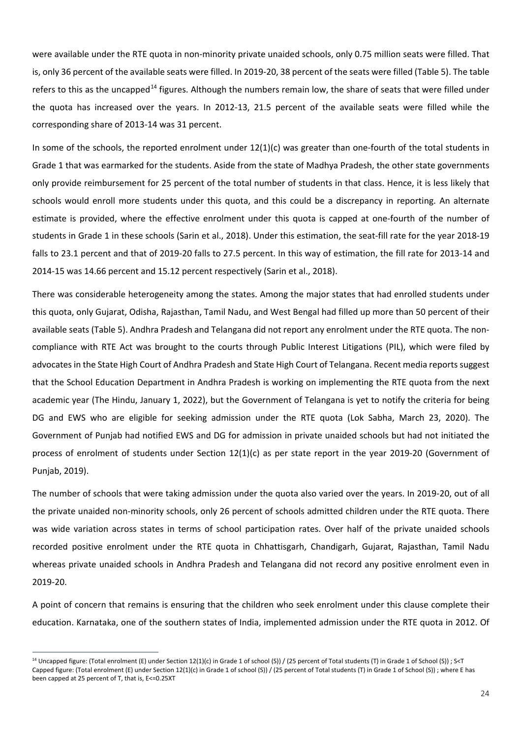were available under the RTE quota in non-minority private unaided schools, only 0.75 million seats were filled. That is, only 36 percent of the available seats were filled. In 2019-20, 38 percent of the seats were filled (Table 5). The table refers to this as the uncapped<sup>[14](#page-24-0)</sup> figures. Although the numbers remain low, the share of seats that were filled under the quota has increased over the years. In 2012-13, 21.5 percent of the available seats were filled while the corresponding share of 2013-14 was 31 percent.

In some of the schools, the reported enrolment under 12(1)(c) was greater than one-fourth of the total students in Grade 1 that was earmarked for the students. Aside from the state of Madhya Pradesh, the other state governments only provide reimbursement for 25 percent of the total number of students in that class. Hence, it is less likely that schools would enroll more students under this quota, and this could be a discrepancy in reporting. An alternate estimate is provided, where the effective enrolment under this quota is capped at one-fourth of the number of students in Grade 1 in these schools (Sarin et al., 2018). Under this estimation, the seat-fill rate for the year 2018-19 falls to 23.1 percent and that of 2019-20 falls to 27.5 percent. In this way of estimation, the fill rate for 2013-14 and 2014-15 was 14.66 percent and 15.12 percent respectively (Sarin et al., 2018).

There was considerable heterogeneity among the states. Among the major states that had enrolled students under this quota, only Gujarat, Odisha, Rajasthan, Tamil Nadu, and West Bengal had filled up more than 50 percent of their available seats (Table 5). Andhra Pradesh and Telangana did not report any enrolment under the RTE quota. The noncompliance with RTE Act was brought to the courts through Public Interest Litigations (PIL), which were filed by advocates in the State High Court of Andhra Pradesh and State High Court of Telangana. Recent media reports suggest that the School Education Department in Andhra Pradesh is working on implementing the RTE quota from the next academic year (The Hindu, January 1, 2022), but the Government of Telangana is yet to notify the criteria for being DG and EWS who are eligible for seeking admission under the RTE quota (Lok Sabha, March 23, 2020). The Government of Punjab had notified EWS and DG for admission in private unaided schools but had not initiated the process of enrolment of students under Section 12(1)(c) as per state report in the year 2019-20 (Government of Punjab, 2019).

The number of schools that were taking admission under the quota also varied over the years. In 2019-20, out of all the private unaided non-minority schools, only 26 percent of schools admitted children under the RTE quota. There was wide variation across states in terms of school participation rates. Over half of the private unaided schools recorded positive enrolment under the RTE quota in Chhattisgarh, Chandigarh, Gujarat, Rajasthan, Tamil Nadu whereas private unaided schools in Andhra Pradesh and Telangana did not record any positive enrolment even in 2019-20.

A point of concern that remains is ensuring that the children who seek enrolment under this clause complete their education. Karnataka, one of the southern states of India, implemented admission under the RTE quota in 2012. Of

<span id="page-24-0"></span><sup>&</sup>lt;sup>14</sup> Uncapped figure: (Total enrolment (E) under Section 12(1)(c) in Grade 1 of school (S)) / (25 percent of Total students (T) in Grade 1 of School (S)) ; S<T Capped figure: (Total enrolment (E) under Section 12(1)(c) in Grade 1 of school (S)) / (25 percent of Total students (T) in Grade 1 of School (S)) ; where E has been capped at 25 percent of T, that is, E<=0.25XT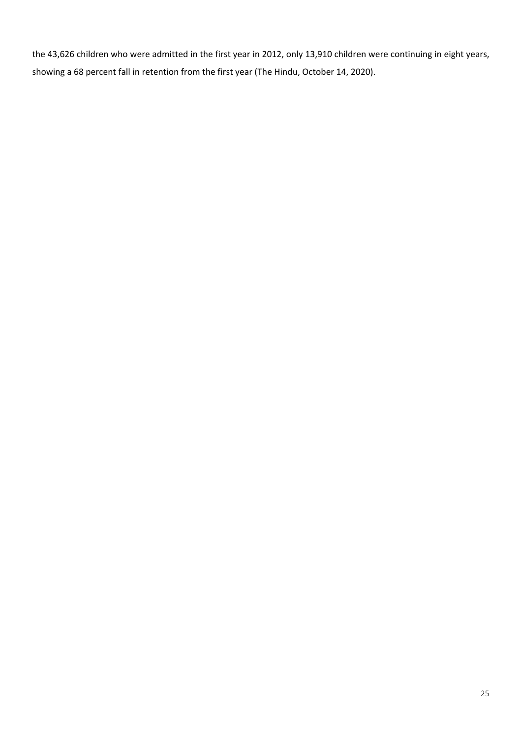the 43,626 children who were admitted in the first year in 2012, only 13,910 children were continuing in eight years, showing a 68 percent fall in retention from the first year (The Hindu, October 14, 2020).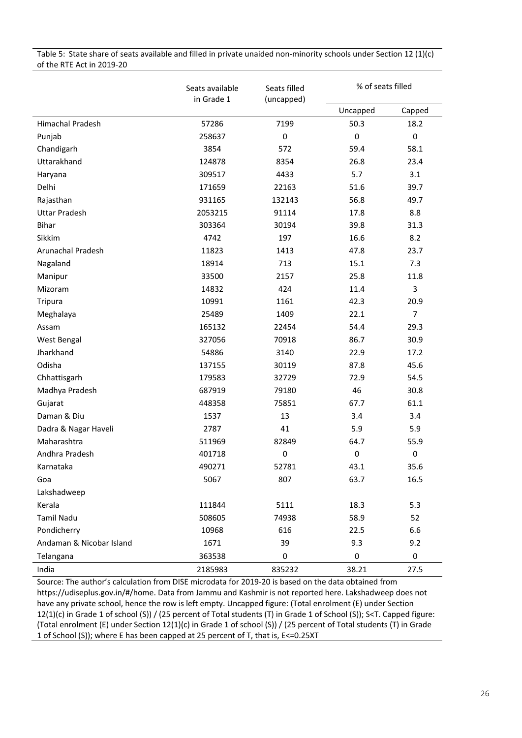| Table 5: State share of seats available and filled in private unaided non-minority schools under Section 12 (1)(c) |  |
|--------------------------------------------------------------------------------------------------------------------|--|
| of the RTE Act in 2019-20                                                                                          |  |

|                          | Seats available<br>in Grade 1 | Seats filled<br>(uncapped) | % of seats filled |                |  |
|--------------------------|-------------------------------|----------------------------|-------------------|----------------|--|
|                          |                               |                            | Uncapped          | Capped         |  |
| <b>Himachal Pradesh</b>  | 57286                         | 7199                       | 50.3              | 18.2           |  |
| Punjab                   | 258637                        | $\pmb{0}$                  | $\pmb{0}$         | $\pmb{0}$      |  |
| Chandigarh               | 3854                          | 572                        | 59.4              | 58.1           |  |
| Uttarakhand              | 124878                        | 8354                       | 26.8              | 23.4           |  |
| Haryana                  | 309517                        | 4433                       | 5.7               | 3.1            |  |
| Delhi                    | 171659                        | 22163                      | 51.6              | 39.7           |  |
| Rajasthan                | 931165                        | 132143                     | 56.8              | 49.7           |  |
| <b>Uttar Pradesh</b>     | 2053215                       | 91114                      | 17.8              | 8.8            |  |
| <b>Bihar</b>             | 303364                        | 30194                      | 39.8              | 31.3           |  |
| Sikkim                   | 4742                          | 197                        | 16.6              | 8.2            |  |
| Arunachal Pradesh        | 11823                         | 1413                       | 47.8              | 23.7           |  |
| Nagaland                 | 18914                         | 713                        | 15.1              | 7.3            |  |
| Manipur                  | 33500                         | 2157                       | 25.8              | 11.8           |  |
| Mizoram                  | 14832                         | 424                        | 11.4              | 3              |  |
| Tripura                  | 10991                         | 1161                       | 42.3              | 20.9           |  |
| Meghalaya                | 25489                         | 1409                       | 22.1              | $\overline{7}$ |  |
| Assam                    | 165132                        | 22454                      | 54.4              | 29.3           |  |
| West Bengal              | 327056                        | 70918                      | 86.7              | 30.9           |  |
| Jharkhand                | 54886                         | 3140                       | 22.9              | 17.2           |  |
| Odisha                   | 137155                        | 30119                      | 87.8              | 45.6           |  |
| Chhattisgarh             | 179583                        | 32729                      | 72.9              | 54.5           |  |
| Madhya Pradesh           | 687919                        | 79180                      | 46                | 30.8           |  |
| Gujarat                  | 448358                        | 75851                      | 67.7              | 61.1           |  |
| Daman & Diu              | 1537                          | 13                         | 3.4               | 3.4            |  |
| Dadra & Nagar Haveli     | 2787                          | 41                         | 5.9               | 5.9            |  |
| Maharashtra              | 511969                        | 82849                      | 64.7              | 55.9           |  |
| Andhra Pradesh           | 401718                        | 0                          | $\pmb{0}$         | $\pmb{0}$      |  |
| Karnataka                | 490271                        | 52781                      | 43.1              | 35.6           |  |
| Goa                      | 5067                          | 807                        | 63.7              | 16.5           |  |
| Lakshadweep              |                               |                            |                   |                |  |
| Kerala                   | 111844                        | 5111                       | 18.3              | 5.3            |  |
| <b>Tamil Nadu</b>        | 508605                        | 74938                      | 58.9              | 52             |  |
| Pondicherry              | 10968                         | 616                        | 22.5              | 6.6            |  |
| Andaman & Nicobar Island | 1671                          | 39                         | 9.3               | 9.2            |  |
| Telangana                | 363538                        | 0                          | 0                 | $\pmb{0}$      |  |
| India                    | 2185983                       | 835232                     | 38.21             | 27.5           |  |

Source: The author's calculation from DISE microdata for 2019-20 is based on the data obtained from https://udiseplus.gov.in/#/home. Data from Jammu and Kashmir is not reported here. Lakshadweep does not have any private school, hence the row is left empty. Uncapped figure: (Total enrolment (E) under Section 12(1)(c) in Grade 1 of school (S)) / (25 percent of Total students (T) in Grade 1 of School (S)); S<T. Capped figure: (Total enrolment (E) under Section 12(1)(c) in Grade 1 of school (S)) / (25 percent of Total students (T) in Grade 1 of School (S)); where E has been capped at 25 percent of T, that is, E<=0.25XT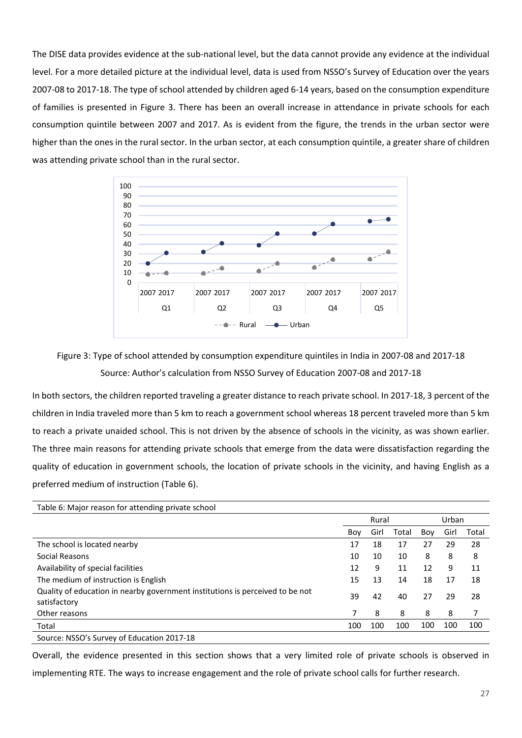The DISE data provides evidence at the sub-national level, but the data cannot provide any evidence at the individual level. For a more detailed picture at the individual level, data is used from NSSO's Survey of Education over the years 2007-08 to 2017-18. The type of school attended by children aged 6-14 years, based on the consumption expenditure of families is presented in Figure 3. There has been an overall increase in attendance in private schools for each consumption quintile between 2007 and 2017. As is evident from the figure, the trends in the urban sector were higher than the ones in the rural sector. In the urban sector, at each consumption quintile, a greater share of children was attending private school than in the rural sector.





In both sectors, the children reported traveling a greater distance to reach private school. In 2017-18, 3 percent of the children in India traveled more than 5 km to reach a government school whereas 18 percent traveled more than 5 km to reach a private unaided school. This is not driven by the absence of schools in the vicinity, as was shown earlier. The three main reasons for attending private schools that emerge from the data were dissatisfaction regarding the quality of education in government schools, the location of private schools in the vicinity, and having English as a preferred medium of instruction (Table 6).

| Table 6: Major reason for attending private school                                            |     |       |       |       |      |       |
|-----------------------------------------------------------------------------------------------|-----|-------|-------|-------|------|-------|
|                                                                                               |     | Rural |       | Urban |      |       |
|                                                                                               | Boy | Girl  | Total | Boy   | Girl | Total |
| The school is located nearby                                                                  | 17  | 18    | 17    | 27    | 29   | 28    |
| Social Reasons                                                                                | 10  | 10    | 10    | 8     | 8    | 8     |
| Availability of special facilities                                                            | 12  | 9     | 11    | 12    | 9    | 11    |
| The medium of instruction is English                                                          | 15  | 13    | 14    | 18    | 17   | 18    |
| Quality of education in nearby government institutions is perceived to be not<br>satisfactory | 39  | 42    | 40    | 27    | 29   | 28    |
| Other reasons                                                                                 | 7   | 8     | 8     | 8     | 8    | 7     |
| Total                                                                                         | 100 | 100   | 100   | 100   | 100  | 100   |
| Source: NSSO's Survey of Education 2017-18                                                    |     |       |       |       |      |       |

Overall, the evidence presented in this section shows that a very limited role of private schools is observed in implementing RTE. The ways to increase engagement and the role of private school calls for further research.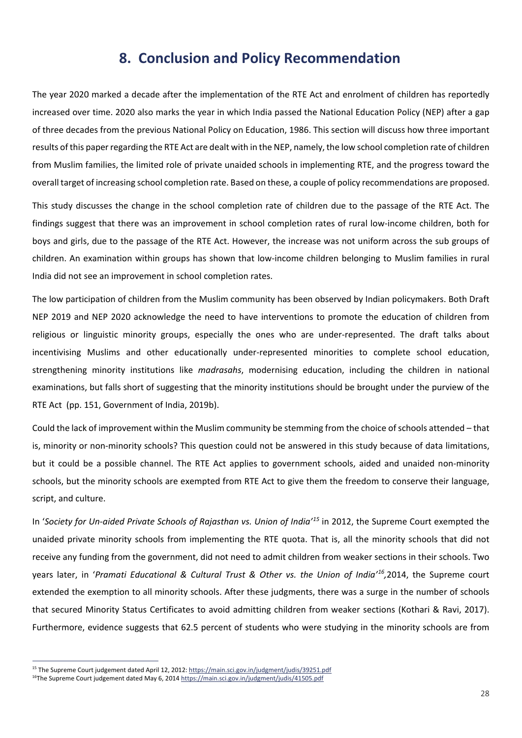### <span id="page-28-0"></span>**8. Conclusion and Policy Recommendation**

The year 2020 marked a decade after the implementation of the RTE Act and enrolment of children has reportedly increased over time. 2020 also marks the year in which India passed the National Education Policy (NEP) after a gap of three decades from the previous National Policy on Education, 1986. This section will discuss how three important results of this paper regarding the RTE Act are dealt with in the NEP, namely, the low school completion rate of children from Muslim families, the limited role of private unaided schools in implementing RTE, and the progress toward the overall target of increasing school completion rate. Based on these, a couple of policy recommendations are proposed.

This study discusses the change in the school completion rate of children due to the passage of the RTE Act. The findings suggest that there was an improvement in school completion rates of rural low-income children, both for boys and girls, due to the passage of the RTE Act. However, the increase was not uniform across the sub groups of children. An examination within groups has shown that low-income children belonging to Muslim families in rural India did not see an improvement in school completion rates.

The low participation of children from the Muslim community has been observed by Indian policymakers. Both Draft NEP 2019 and NEP 2020 acknowledge the need to have interventions to promote the education of children from religious or linguistic minority groups, especially the ones who are under-represented. The draft talks about incentivising Muslims and other educationally under-represented minorities to complete school education, strengthening minority institutions like *madrasahs*, modernising education, including the children in national examinations, but falls short of suggesting that the minority institutions should be brought under the purview of the RTE Act (pp. 151, Government of India, 2019b).

Could the lack of improvement within the Muslim community be stemming from the choice of schools attended – that is, minority or non-minority schools? This question could not be answered in this study because of data limitations, but it could be a possible channel. The RTE Act applies to government schools, aided and unaided non-minority schools, but the minority schools are exempted from RTE Act to give them the freedom to conserve their language, script, and culture.

In '*Society for Un-aided Private Schools of Rajasthan vs. Union of India'[15](#page-28-1)* in 2012, the Supreme Court exempted the unaided private minority schools from implementing the RTE quota. That is, all the minority schools that did not receive any funding from the government, did not need to admit children from weaker sections in their schools. Two years later, in '*Pramati Educational & Cultural Trust & Other vs. the Union of India'[16](#page-28-2),*2014, the Supreme court extended the exemption to all minority schools. After these judgments, there was a surge in the number of schools that secured Minority Status Certificates to avoid admitting children from weaker sections (Kothari & Ravi, 2017). Furthermore, evidence suggests that 62.5 percent of students who were studying in the minority schools are from

<span id="page-28-1"></span><sup>&</sup>lt;sup>15</sup> The Supreme Court judgement dated April 12, 2012[: https://main.sci.gov.in/judgment/judis/39251.pdf](https://main.sci.gov.in/judgment/judis/39251.pdf) <sup>16</sup>The Supreme Court judgement dated May 6, 2014 https://main.sci.gov.in/judgment/judis/41505.pdf

<span id="page-28-2"></span>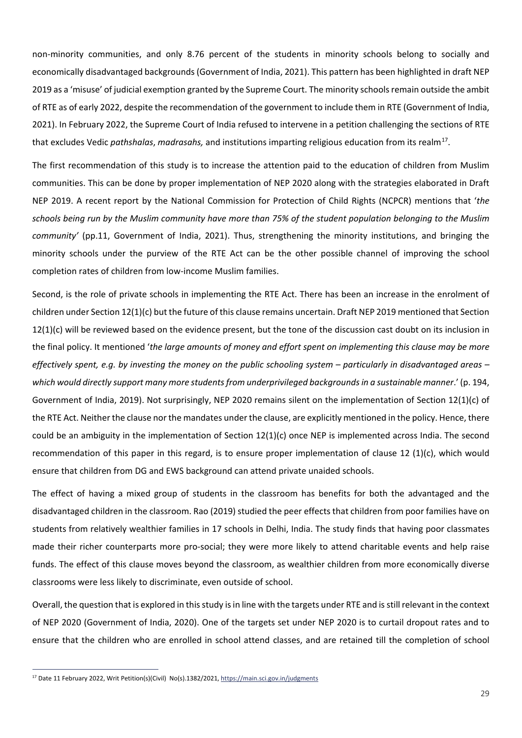non-minority communities, and only 8.76 percent of the students in minority schools belong to socially and economically disadvantaged backgrounds (Government of India, 2021). This pattern has been highlighted in draft NEP 2019 as a 'misuse' of judicial exemption granted by the Supreme Court. The minority schools remain outside the ambit of RTE as of early 2022, despite the recommendation of the government to include them in RTE (Government of India, 2021). In February 2022, the Supreme Court of India refused to intervene in a petition challenging the sections of RTE that excludes Vedic *pathshalas*, *madrasahs,* and institutions imparting religious education from its realm[17](#page-29-0).

The first recommendation of this study is to increase the attention paid to the education of children from Muslim communities. This can be done by proper implementation of NEP 2020 along with the strategies elaborated in Draft NEP 2019. A recent report by the National Commission for Protection of Child Rights (NCPCR) mentions that '*the schools being run by the Muslim community have more than 75% of the student population belonging to the Muslim community'* (pp.11, Government of India, 2021). Thus, strengthening the minority institutions, and bringing the minority schools under the purview of the RTE Act can be the other possible channel of improving the school completion rates of children from low-income Muslim families.

Second, is the role of private schools in implementing the RTE Act. There has been an increase in the enrolment of children under Section 12(1)(c) but the future of this clause remains uncertain. Draft NEP 2019 mentioned that Section  $12(1)(c)$  will be reviewed based on the evidence present, but the tone of the discussion cast doubt on its inclusion in the final policy. It mentioned '*the large amounts of money and effort spent on implementing this clause may be more effectively spent, e.g. by investing the money on the public schooling system – particularly in disadvantaged areas – which would directly support many more students from underprivileged backgrounds in a sustainable manner*.' (p. 194, Government of India, 2019). Not surprisingly, NEP 2020 remains silent on the implementation of Section 12(1)(c) of the RTE Act. Neither the clause nor the mandates under the clause, are explicitly mentioned in the policy. Hence, there could be an ambiguity in the implementation of Section 12(1)(c) once NEP is implemented across India. The second recommendation of this paper in this regard, is to ensure proper implementation of clause 12 (1)(c), which would ensure that children from DG and EWS background can attend private unaided schools.

The effect of having a mixed group of students in the classroom has benefits for both the advantaged and the disadvantaged children in the classroom. Rao (2019) studied the peer effects that children from poor families have on students from relatively wealthier families in 17 schools in Delhi, India. The study finds that having poor classmates made their richer counterparts more pro-social; they were more likely to attend charitable events and help raise funds. The effect of this clause moves beyond the classroom, as wealthier children from more economically diverse classrooms were less likely to discriminate, even outside of school.

Overall, the question that is explored in this study is in line with the targets under RTE and is still relevant in the context of NEP 2020 (Government of India, 2020). One of the targets set under NEP 2020 is to curtail dropout rates and to ensure that the children who are enrolled in school attend classes, and are retained till the completion of school

<span id="page-29-0"></span><sup>&</sup>lt;sup>17</sup> Date 11 February 2022, Writ Petition(s)(Civil) No(s).1382/2021[, https://main.sci.gov.in/judgments](https://main.sci.gov.in/judgments)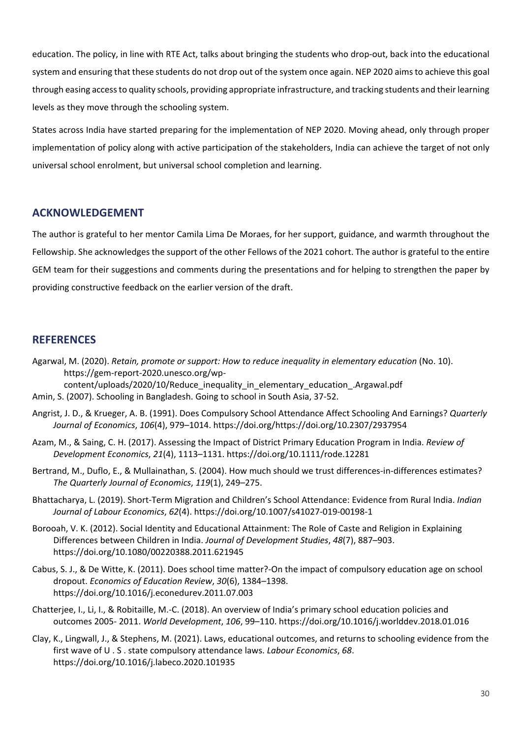education. The policy, in line with RTE Act, talks about bringing the students who drop-out, back into the educational system and ensuring that these students do not drop out of the system once again. NEP 2020 aims to achieve this goal through easing access to quality schools, providing appropriate infrastructure, and tracking students and their learning levels as they move through the schooling system.

States across India have started preparing for the implementation of NEP 2020. Moving ahead, only through proper implementation of policy along with active participation of the stakeholders, India can achieve the target of not only universal school enrolment, but universal school completion and learning.

#### <span id="page-30-0"></span>**ACKNOWLEDGEMENT**

The author is grateful to her mentor Camila Lima De Moraes, for her support, guidance, and warmth throughout the Fellowship. She acknowledges the support of the other Fellows of the 2021 cohort. The author is grateful to the entire GEM team for their suggestions and comments during the presentations and for helping to strengthen the paper by providing constructive feedback on the earlier version of the draft.

### <span id="page-30-1"></span>**REFERENCES**

- Agarwal, M. (2020). *Retain, promote or support: How to reduce inequality in elementary education* (No. 10). https://gem-report-2020.unesco.org/wp-
- content/uploads/2020/10/Reduce\_inequality\_in\_elementary\_education\_.Argawal.pdf Amin, S. (2007). Schooling in Bangladesh. Going to school in South Asia, 37-52.
- Angrist, J. D., & Krueger, A. B. (1991). Does Compulsory School Attendance Affect Schooling And Earnings? *Quarterly Journal of Economics*, *106*(4), 979–1014. https://doi.org/https://doi.org/10.2307/2937954
- Azam, M., & Saing, C. H. (2017). Assessing the Impact of District Primary Education Program in India. *Review of Development Economics*, *21*(4), 1113–1131. https://doi.org/10.1111/rode.12281
- Bertrand, M., Duflo, E., & Mullainathan, S. (2004). How much should we trust differences-in-differences estimates? *The Quarterly Journal of Economics*, *119*(1), 249–275.
- Bhattacharya, L. (2019). Short-Term Migration and Children's School Attendance: Evidence from Rural India. *Indian Journal of Labour Economics*, *62*(4). https://doi.org/10.1007/s41027-019-00198-1
- Borooah, V. K. (2012). Social Identity and Educational Attainment: The Role of Caste and Religion in Explaining Differences between Children in India. *Journal of Development Studies*, *48*(7), 887–903. https://doi.org/10.1080/00220388.2011.621945
- Cabus, S. J., & De Witte, K. (2011). Does school time matter?-On the impact of compulsory education age on school dropout. *Economics of Education Review*, *30*(6), 1384–1398. https://doi.org/10.1016/j.econedurev.2011.07.003
- Chatterjee, I., Li, I., & Robitaille, M.-C. (2018). An overview of India's primary school education policies and outcomes 2005- 2011. *World Development*, *106*, 99–110. https://doi.org/10.1016/j.worlddev.2018.01.016
- Clay, K., Lingwall, J., & Stephens, M. (2021). Laws, educational outcomes, and returns to schooling evidence from the first wave of U . S . state compulsory attendance laws. *Labour Economics*, *68*. https://doi.org/10.1016/j.labeco.2020.101935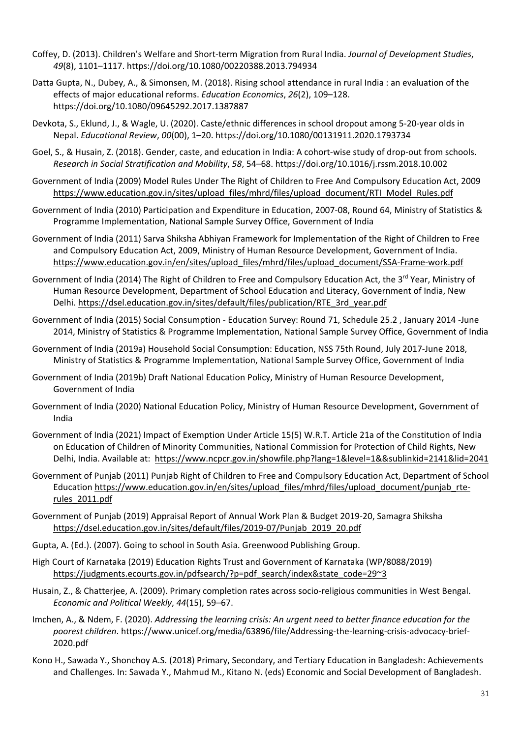- Coffey, D. (2013). Children's Welfare and Short-term Migration from Rural India. *Journal of Development Studies*, *49*(8), 1101–1117. https://doi.org/10.1080/00220388.2013.794934
- Datta Gupta, N., Dubey, A., & Simonsen, M. (2018). Rising school attendance in rural India : an evaluation of the effects of major educational reforms. *Education Economics*, *26*(2), 109–128. https://doi.org/10.1080/09645292.2017.1387887
- Devkota, S., Eklund, J., & Wagle, U. (2020). Caste/ethnic differences in school dropout among 5-20-year olds in Nepal. *Educational Review*, *00*(00), 1–20. https://doi.org/10.1080/00131911.2020.1793734
- Goel, S., & Husain, Z. (2018). Gender, caste, and education in India: A cohort-wise study of drop-out from schools. *Research in Social Stratification and Mobility*, *58*, 54–68. https://doi.org/10.1016/j.rssm.2018.10.002
- Government of India (2009) Model Rules Under The Right of Children to Free And Compulsory Education Act, 2009 [https://www.education.gov.in/sites/upload\\_files/mhrd/files/upload\\_document/RTI\\_Model\\_Rules.pdf](https://www.education.gov.in/sites/upload_files/mhrd/files/upload_document/RTI_Model_Rules.pdf)
- Government of India (2010) Participation and Expenditure in Education, 2007-08, Round 64, Ministry of Statistics & Programme Implementation, National Sample Survey Office, Government of India
- Government of India (2011) Sarva Shiksha Abhiyan Framework for Implementation of the Right of Children to Free and Compulsory Education Act, 2009, Ministry of Human Resource Development, Government of India. [https://www.education.gov.in/en/sites/upload\\_files/mhrd/files/upload\\_document/SSA-Frame-work.pdf](https://www.education.gov.in/en/sites/upload_files/mhrd/files/upload_document/SSA-Frame-work.pdf)
- Government of India (2014) The Right of Children to Free and Compulsory Education Act, the 3<sup>rd</sup> Year, Ministry of Human Resource Development, Department of School Education and Literacy, Government of India, New Delhi. [https://dsel.education.gov.in/sites/default/files/publication/RTE\\_3rd\\_year.pdf](https://dsel.education.gov.in/sites/default/files/publication/RTE_3rd_year.pdf)
- Government of India (2015) Social Consumption Education Survey: Round 71, Schedule 25.2 , January 2014 -June 2014, Ministry of Statistics & Programme Implementation, National Sample Survey Office, Government of India
- Government of India (2019a) Household Social Consumption: Education, NSS 75th Round, July 2017-June 2018, Ministry of Statistics & Programme Implementation, National Sample Survey Office, Government of India
- Government of India (2019b) Draft National Education Policy, Ministry of Human Resource Development, Government of India
- Government of India (2020) National Education Policy, Ministry of Human Resource Development, Government of India
- Government of India (2021) Impact of Exemption Under Article 15(5) W.R.T. Article 21a of the Constitution of India on Education of Children of Minority Communities, National Commission for Protection of Child Rights, New Delhi, India. Available at:<https://www.ncpcr.gov.in/showfile.php?lang=1&level=1&&sublinkid=2141&lid=2041>
- Government of Punjab (2011) Punjab Right of Children to Free and Compulsory Education Act, Department of School Education [https://www.education.gov.in/en/sites/upload\\_files/mhrd/files/upload\\_document/punjab\\_rte](https://www.education.gov.in/en/sites/upload_files/mhrd/files/upload_document/punjab_rte-rules_2011.pdf)[rules\\_2011.pdf](https://www.education.gov.in/en/sites/upload_files/mhrd/files/upload_document/punjab_rte-rules_2011.pdf)
- Government of Punjab (2019) Appraisal Report of Annual Work Plan & Budget 2019-20, Samagra Shiksha [https://dsel.education.gov.in/sites/default/files/2019-07/Punjab\\_2019\\_20.pdf](https://dsel.education.gov.in/sites/default/files/2019-07/Punjab_2019_20.pdf)
- Gupta, A. (Ed.). (2007). Going to school in South Asia. Greenwood Publishing Group.
- High Court of Karnataka (2019) Education Rights Trust and Government of Karnataka (WP/8088/2019) [https://judgments.ecourts.gov.in/pdfsearch/?p=pdf\\_search/index&state\\_code=29~3](https://judgments.ecourts.gov.in/pdfsearch/?p=pdf_search/index&state_code=29%7E3)
- Husain, Z., & Chatterjee, A. (2009). Primary completion rates across socio-religious communities in West Bengal. *Economic and Political Weekly*, *44*(15), 59–67.
- Imchen, A., & Ndem, F. (2020). *Addressing the learning crisis: An urgent need to better finance education for the poorest children*. https://www.unicef.org/media/63896/file/Addressing-the-learning-crisis-advocacy-brief-2020.pdf
- Kono H., Sawada Y., Shonchoy A.S. (2018) Primary, Secondary, and Tertiary Education in Bangladesh: Achievements and Challenges. In: Sawada Y., Mahmud M., Kitano N. (eds) Economic and Social Development of Bangladesh.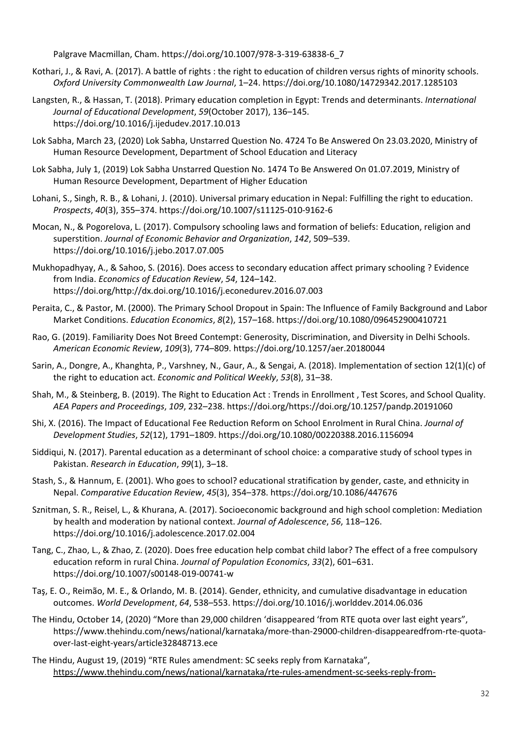Palgrave Macmillan, Cham. [https://doi.org/10.1007/978-3-319-63838-6\\_7](https://doi.org/10.1007/978-3-319-63838-6_7)

- Kothari, J., & Ravi, A. (2017). A battle of rights : the right to education of children versus rights of minority schools. *Oxford University Commonwealth Law Journal*, 1–24. https://doi.org/10.1080/14729342.2017.1285103
- Langsten, R., & Hassan, T. (2018). Primary education completion in Egypt: Trends and determinants. *International Journal of Educational Development*, *59*(October 2017), 136–145. https://doi.org/10.1016/j.ijedudev.2017.10.013
- Lok Sabha, March 23, (2020) Lok Sabha, Unstarred Question No. 4724 To Be Answered On 23.03.2020, Ministry of Human Resource Development, Department of School Education and Literacy
- Lok Sabha, July 1, (2019) Lok Sabha Unstarred Question No. 1474 To Be Answered On 01.07.2019, Ministry of Human Resource Development, Department of Higher Education
- Lohani, S., Singh, R. B., & Lohani, J. (2010). Universal primary education in Nepal: Fulfilling the right to education. *Prospects*, *40*(3), 355–374. https://doi.org/10.1007/s11125-010-9162-6
- Mocan, N., & Pogorelova, L. (2017). Compulsory schooling laws and formation of beliefs: Education, religion and superstition. *Journal of Economic Behavior and Organization*, *142*, 509–539. https://doi.org/10.1016/j.jebo.2017.07.005
- Mukhopadhyay, A., & Sahoo, S. (2016). Does access to secondary education affect primary schooling ? Evidence from India. *Economics of Education Review*, *54*, 124–142. https://doi.org/http://dx.doi.org/10.1016/j.econedurev.2016.07.003
- Peraita, C., & Pastor, M. (2000). The Primary School Dropout in Spain: The Influence of Family Background and Labor Market Conditions. *Education Economics*, *8*(2), 157–168. https://doi.org/10.1080/096452900410721
- Rao, G. (2019). Familiarity Does Not Breed Contempt: Generosity, Discrimination, and Diversity in Delhi Schools. *American Economic Review*, *109*(3), 774–809. https://doi.org/10.1257/aer.20180044
- Sarin, A., Dongre, A., Khanghta, P., Varshney, N., Gaur, A., & Sengai, A. (2018). Implementation of section 12(1)(c) of the right to education act. *Economic and Political Weekly*, *53*(8), 31–38.
- Shah, M., & Steinberg, B. (2019). The Right to Education Act : Trends in Enrollment , Test Scores, and School Quality. *AEA Papers and Proceedings*, *109*, 232–238. https://doi.org/https://doi.org/10.1257/pandp.20191060
- Shi, X. (2016). The Impact of Educational Fee Reduction Reform on School Enrolment in Rural China. *Journal of Development Studies*, *52*(12), 1791–1809. https://doi.org/10.1080/00220388.2016.1156094
- Siddiqui, N. (2017). Parental education as a determinant of school choice: a comparative study of school types in Pakistan. *Research in Education*, *99*(1), 3–18.
- Stash, S., & Hannum, E. (2001). Who goes to school? educational stratification by gender, caste, and ethnicity in Nepal. *Comparative Education Review*, *45*(3), 354–378. https://doi.org/10.1086/447676
- Sznitman, S. R., Reisel, L., & Khurana, A. (2017). Socioeconomic background and high school completion: Mediation by health and moderation by national context. *Journal of Adolescence*, *56*, 118–126. https://doi.org/10.1016/j.adolescence.2017.02.004
- Tang, C., Zhao, L., & Zhao, Z. (2020). Does free education help combat child labor? The effect of a free compulsory education reform in rural China. *Journal of Population Economics*, *33*(2), 601–631. https://doi.org/10.1007/s00148-019-00741-w
- Taş, E. O., Reimão, M. E., & Orlando, M. B. (2014). Gender, ethnicity, and cumulative disadvantage in education outcomes. *World Development*, *64*, 538–553. https://doi.org/10.1016/j.worlddev.2014.06.036
- The Hindu, October 14, (2020) "More than 29,000 children 'disappeared 'from RTE quota over last eight years", [https://www.thehindu.com/news/national/karnataka/more-than-29000-children-disappearedfrom-rte-quota](https://www.thehindu.com/news/national/karnataka/more-than-29000-children-disappearedfrom-rte-quota-over-last-eight-years/article32848713.ece)[over-last-eight-years/article32848713.ece](https://www.thehindu.com/news/national/karnataka/more-than-29000-children-disappearedfrom-rte-quota-over-last-eight-years/article32848713.ece)
- The Hindu, August 19, (2019) "RTE Rules amendment: SC seeks reply from Karnataka", [https://www.thehindu.com/news/national/karnataka/rte-rules-amendment-sc-seeks-reply-from-](https://www.thehindu.com/news/national/karnataka/rte-rules-amendment-sc-seeks-reply-from-karnataka/article29141535.ece)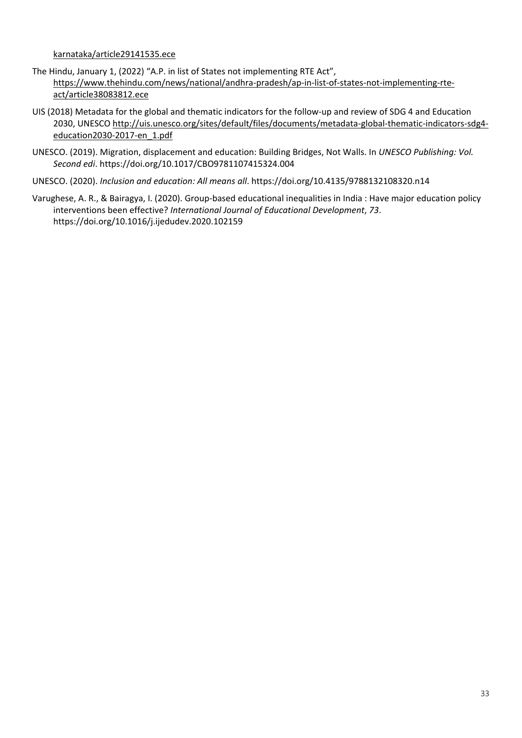[karnataka/article29141535.ece](https://www.thehindu.com/news/national/karnataka/rte-rules-amendment-sc-seeks-reply-from-karnataka/article29141535.ece) 

- The Hindu, January 1, (2022) "A.P. in list of States not implementing RTE Act", [https://www.thehindu.com/news/national/andhra-pradesh/ap-in-list-of-states-not-implementing-rte](https://www.thehindu.com/news/national/andhra-pradesh/ap-in-list-of-states-not-implementing-rte-act/article38083812.ece)[act/article38083812.ece](https://www.thehindu.com/news/national/andhra-pradesh/ap-in-list-of-states-not-implementing-rte-act/article38083812.ece)
- UIS (2018) Metadata for the global and thematic indicators for the follow-up and review of SDG 4 and Education 2030, UNESC[O http://uis.unesco.org/sites/default/files/documents/metadata-global-thematic-indicators-sdg4](http://uis.unesco.org/sites/default/files/documents/metadata-global-thematic-indicators-sdg4-education2030-2017-en_1.pdf) [education2030-2017-en\\_1.pdf](http://uis.unesco.org/sites/default/files/documents/metadata-global-thematic-indicators-sdg4-education2030-2017-en_1.pdf)
- UNESCO. (2019). Migration, displacement and education: Building Bridges, Not Walls. In *UNESCO Publishing: Vol. Second edi*. https://doi.org/10.1017/CBO9781107415324.004
- UNESCO. (2020). *Inclusion and education: All means all*. https://doi.org/10.4135/9788132108320.n14
- Varughese, A. R., & Bairagya, I. (2020). Group-based educational inequalities in India : Have major education policy interventions been effective? *International Journal of Educational Development*, *73*. https://doi.org/10.1016/j.ijedudev.2020.102159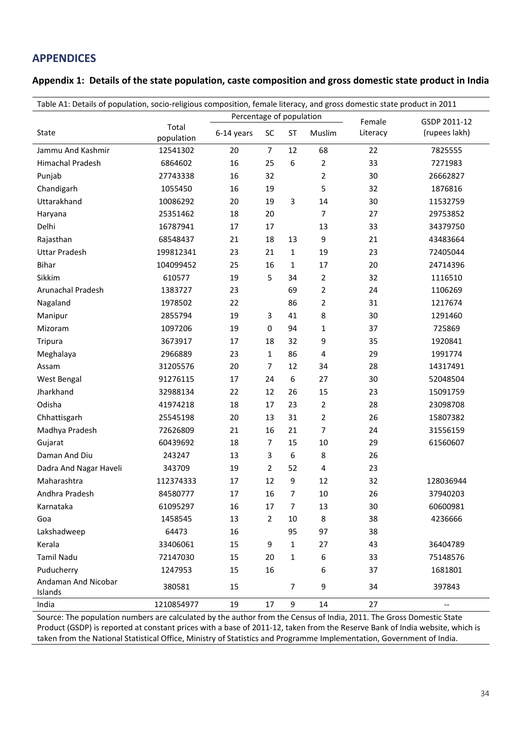### <span id="page-34-0"></span>**APPENDICES**

<span id="page-34-1"></span>

|  | Appendix 1: Details of the state population, caste composition and gross domestic state product in India |  |  |  |
|--|----------------------------------------------------------------------------------------------------------|--|--|--|
|--|----------------------------------------------------------------------------------------------------------|--|--|--|

| Table A1: Details of population, socio-religious composition, female literacy, and gross domestic state product in 2011 |                     |                          |                |                  |                |          |                          |
|-------------------------------------------------------------------------------------------------------------------------|---------------------|--------------------------|----------------|------------------|----------------|----------|--------------------------|
|                                                                                                                         |                     | Percentage of population |                |                  |                | Female   | GSDP 2011-12             |
| State                                                                                                                   | Total<br>population | 6-14 years               | SC             | ST               | Muslim         | Literacy | (rupees lakh)            |
| Jammu And Kashmir                                                                                                       | 12541302            | 20                       | $\overline{7}$ | 12               | 68             | 22       | 7825555                  |
| Himachal Pradesh                                                                                                        | 6864602             | 16                       | 25             | 6                | $\overline{2}$ | 33       | 7271983                  |
| Punjab                                                                                                                  | 27743338            | 16                       | 32             |                  | $\overline{2}$ | 30       | 26662827                 |
| Chandigarh                                                                                                              | 1055450             | 16                       | 19             |                  | 5              | 32       | 1876816                  |
| Uttarakhand                                                                                                             | 10086292            | 20                       | 19             | 3                | 14             | 30       | 11532759                 |
| Haryana                                                                                                                 | 25351462            | 18                       | 20             |                  | $\overline{7}$ | 27       | 29753852                 |
| Delhi                                                                                                                   | 16787941            | 17                       | 17             |                  | 13             | 33       | 34379750                 |
| Rajasthan                                                                                                               | 68548437            | 21                       | 18             | 13               | 9              | 21       | 43483664                 |
| <b>Uttar Pradesh</b>                                                                                                    | 199812341           | 23                       | 21             | $\mathbf{1}$     | 19             | 23       | 72405044                 |
| <b>Bihar</b>                                                                                                            | 104099452           | 25                       | 16             | $\mathbf{1}$     | 17             | 20       | 24714396                 |
| Sikkim                                                                                                                  | 610577              | 19                       | 5              | 34               | 2              | 32       | 1116510                  |
| Arunachal Pradesh                                                                                                       | 1383727             | 23                       |                | 69               | $\overline{2}$ | 24       | 1106269                  |
| Nagaland                                                                                                                | 1978502             | 22                       |                | 86               | 2              | 31       | 1217674                  |
| Manipur                                                                                                                 | 2855794             | 19                       | 3              | 41               | 8              | 30       | 1291460                  |
| Mizoram                                                                                                                 | 1097206             | 19                       | $\mathbf 0$    | 94               | 1              | 37       | 725869                   |
| Tripura                                                                                                                 | 3673917             | 17                       | 18             | 32               | 9              | 35       | 1920841                  |
| Meghalaya                                                                                                               | 2966889             | 23                       | $\mathbf{1}$   | 86               | 4              | 29       | 1991774                  |
| Assam                                                                                                                   | 31205576            | 20                       | $\overline{7}$ | 12               | 34             | 28       | 14317491                 |
| West Bengal                                                                                                             | 91276115            | 17                       | 24             | 6                | 27             | 30       | 52048504                 |
| Jharkhand                                                                                                               | 32988134            | 22                       | 12             | 26               | 15             | 23       | 15091759                 |
| Odisha                                                                                                                  | 41974218            | 18                       | 17             | 23               | 2              | 28       | 23098708                 |
| Chhattisgarh                                                                                                            | 25545198            | 20                       | 13             | 31               | 2              | 26       | 15807382                 |
| Madhya Pradesh                                                                                                          | 72626809            | 21                       | 16             | 21               | $\overline{7}$ | 24       | 31556159                 |
| Gujarat                                                                                                                 | 60439692            | 18                       | $\overline{7}$ | 15               | 10             | 29       | 61560607                 |
| Daman And Diu                                                                                                           | 243247              | 13                       | 3              | $\boldsymbol{6}$ | 8              | 26       |                          |
| Dadra And Nagar Haveli                                                                                                  | 343709              | 19                       | 2              | 52               | 4              | 23       |                          |
| Maharashtra                                                                                                             | 112374333           | 17                       | 12             | 9                | 12             | 32       | 128036944                |
| Andhra Pradesh                                                                                                          | 84580777            | 17                       | 16             | 7                | 10             | 26       | 37940203                 |
| Karnataka                                                                                                               | 61095297            | 16                       | 17             | 7                | 13             | 30       | 60600981                 |
| Goa                                                                                                                     | 1458545             | 13                       | $\overline{2}$ | 10               | 8              | 38       | 4236666                  |
| Lakshadweep                                                                                                             | 64473               | 16                       |                | 95               | 97             | 38       |                          |
| Kerala                                                                                                                  | 33406061            | 15                       | 9              | $\mathbf{1}$     | 27             | 43       | 36404789                 |
| <b>Tamil Nadu</b>                                                                                                       | 72147030            | 15                       | 20             | 1                | 6              | 33       | 75148576                 |
| Puducherry                                                                                                              | 1247953             | 15                       | 16             |                  | 6              | 37       | 1681801                  |
| Andaman And Nicobar<br>Islands                                                                                          | 380581              | 15                       |                | $\overline{7}$   | 9              | 34       | 397843                   |
| India                                                                                                                   | 1210854977          | 19                       | 17             | 9                | 14             | 27       | $\overline{\phantom{a}}$ |

Source: The population numbers are calculated by the author from the Census of India, 2011. The Gross Domestic State Product (GSDP) is reported at constant prices with a base of 2011-12, taken from the Reserve Bank of India website, which is taken from the National Statistical Office, Ministry of Statistics and Programme Implementation, Government of India.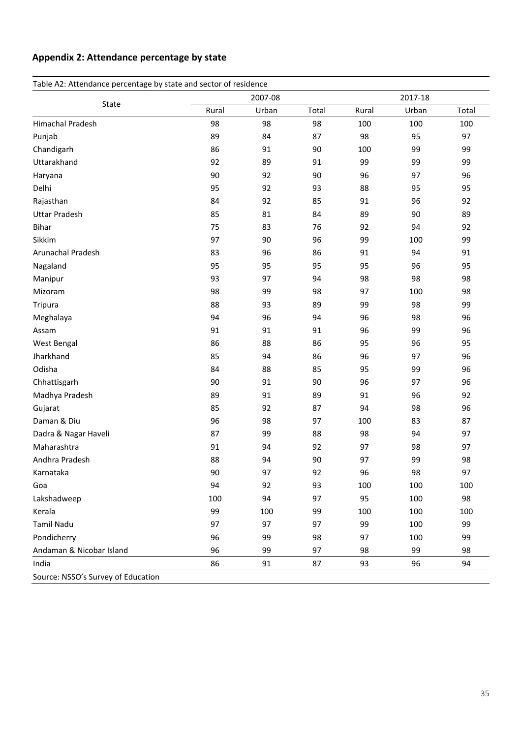### <span id="page-35-0"></span>**Appendix 2: Attendance percentage by state**

| Table A2: Attendance percentage by state and sector of residence |       |         |       |       |       |         |  |  |
|------------------------------------------------------------------|-------|---------|-------|-------|-------|---------|--|--|
| State                                                            |       | 2007-08 |       |       |       | 2017-18 |  |  |
|                                                                  | Rural | Urban   | Total | Rural | Urban | Total   |  |  |
| Himachal Pradesh                                                 | 98    | 98      | 98    | 100   | 100   | 100     |  |  |
| Punjab                                                           | 89    | 84      | 87    | 98    | 95    | 97      |  |  |
| Chandigarh                                                       | 86    | 91      | 90    | 100   | 99    | 99      |  |  |
| Uttarakhand                                                      | 92    | 89      | 91    | 99    | 99    | 99      |  |  |
| Haryana                                                          | 90    | 92      | 90    | 96    | 97    | 96      |  |  |
| Delhi                                                            | 95    | 92      | 93    | 88    | 95    | 95      |  |  |
| Rajasthan                                                        | 84    | 92      | 85    | 91    | 96    | 92      |  |  |
| <b>Uttar Pradesh</b>                                             | 85    | 81      | 84    | 89    | 90    | 89      |  |  |
| <b>Bihar</b>                                                     | 75    | 83      | 76    | 92    | 94    | 92      |  |  |
| Sikkim                                                           | 97    | 90      | 96    | 99    | 100   | 99      |  |  |
| Arunachal Pradesh                                                | 83    | 96      | 86    | 91    | 94    | 91      |  |  |
| Nagaland                                                         | 95    | 95      | 95    | 95    | 96    | 95      |  |  |
| Manipur                                                          | 93    | 97      | 94    | 98    | 98    | 98      |  |  |
| Mizoram                                                          | 98    | 99      | 98    | 97    | 100   | 98      |  |  |
| Tripura                                                          | 88    | 93      | 89    | 99    | 98    | 99      |  |  |
| Meghalaya                                                        | 94    | 96      | 94    | 96    | 98    | 96      |  |  |
| Assam                                                            | 91    | 91      | 91    | 96    | 99    | 96      |  |  |
| West Bengal                                                      | 86    | 88      | 86    | 95    | 96    | 95      |  |  |
| Jharkhand                                                        | 85    | 94      | 86    | 96    | 97    | 96      |  |  |
| Odisha                                                           | 84    | 88      | 85    | 95    | 99    | 96      |  |  |
| Chhattisgarh                                                     | 90    | 91      | 90    | 96    | 97    | 96      |  |  |
| Madhya Pradesh                                                   | 89    | 91      | 89    | 91    | 96    | 92      |  |  |
| Gujarat                                                          | 85    | 92      | 87    | 94    | 98    | 96      |  |  |
| Daman & Diu                                                      | 96    | 98      | 97    | 100   | 83    | 87      |  |  |
| Dadra & Nagar Haveli                                             | 87    | 99      | 88    | 98    | 94    | 97      |  |  |
| Maharashtra                                                      | 91    | 94      | 92    | 97    | 98    | 97      |  |  |
| Andhra Pradesh                                                   | 88    | 94      | 90    | 97    | 99    | 98      |  |  |
| Karnataka                                                        | 90    | 97      | 92    | 96    | 98    | 97      |  |  |
| Goa                                                              | 94    | 92      | 93    | 100   | 100   | 100     |  |  |
| Lakshadweep                                                      | 100   | 94      | 97    | 95    | 100   | 98      |  |  |
| Kerala                                                           | 99    | 100     | 99    | 100   | 100   | 100     |  |  |
| <b>Tamil Nadu</b>                                                | 97    | 97      | 97    | 99    | 100   | 99      |  |  |
| Pondicherry                                                      | 96    | 99      | 98    | 97    | 100   | 99      |  |  |
| Andaman & Nicobar Island                                         | 96    | 99      | 97    | 98    | 99    | 98      |  |  |
| India                                                            | 86    | 91      | 87    | 93    | 96    | 94      |  |  |
| Source: NSSO's Survey of Education                               |       |         |       |       |       |         |  |  |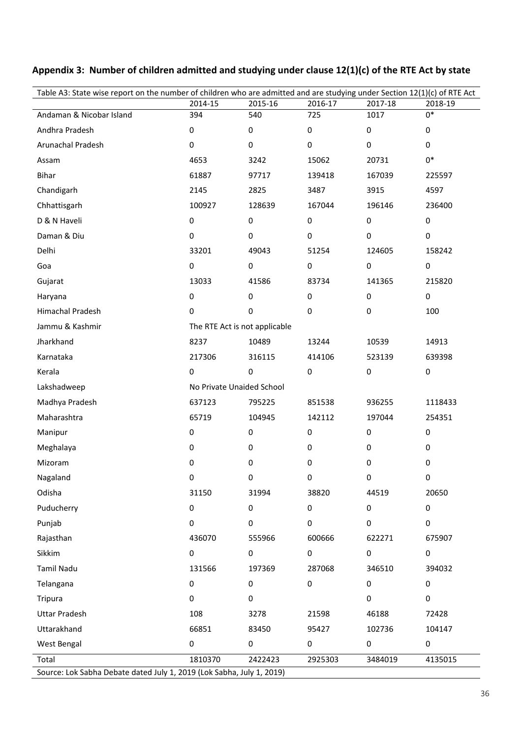| Table A3: State wise report on the number of children who are admitted and are studying under Section 12(1)(c) of RTE Act |                               |           |           |           |           |  |  |  |
|---------------------------------------------------------------------------------------------------------------------------|-------------------------------|-----------|-----------|-----------|-----------|--|--|--|
|                                                                                                                           | 2014-15                       | 2015-16   | 2016-17   | 2017-18   | 2018-19   |  |  |  |
| Andaman & Nicobar Island                                                                                                  | 394                           | 540       | 725       | 1017      | $0*$      |  |  |  |
| Andhra Pradesh                                                                                                            | $\pmb{0}$                     | $\pmb{0}$ | 0         | 0         | 0         |  |  |  |
| Arunachal Pradesh                                                                                                         | 0                             | $\pmb{0}$ | 0         | 0         | 0         |  |  |  |
| Assam                                                                                                                     | 4653                          | 3242      | 15062     | 20731     | $0*$      |  |  |  |
| Bihar                                                                                                                     | 61887                         | 97717     | 139418    | 167039    | 225597    |  |  |  |
| Chandigarh                                                                                                                | 2145                          | 2825      | 3487      | 3915      | 4597      |  |  |  |
| Chhattisgarh                                                                                                              | 100927                        | 128639    | 167044    | 196146    | 236400    |  |  |  |
| D & N Haveli                                                                                                              | $\pmb{0}$                     | $\pmb{0}$ | $\pmb{0}$ | $\pmb{0}$ | $\pmb{0}$ |  |  |  |
| Daman & Diu                                                                                                               | 0                             | $\pmb{0}$ | $\pmb{0}$ | $\pmb{0}$ | 0         |  |  |  |
| Delhi                                                                                                                     | 33201                         | 49043     | 51254     | 124605    | 158242    |  |  |  |
| Goa                                                                                                                       | $\pmb{0}$                     | $\pmb{0}$ | $\pmb{0}$ | $\pmb{0}$ | $\pmb{0}$ |  |  |  |
| Gujarat                                                                                                                   | 13033                         | 41586     | 83734     | 141365    | 215820    |  |  |  |
| Haryana                                                                                                                   | $\pmb{0}$                     | $\pmb{0}$ | $\pmb{0}$ | 0         | $\pmb{0}$ |  |  |  |
| Himachal Pradesh                                                                                                          | 0                             | $\pmb{0}$ | $\pmb{0}$ | 0         | 100       |  |  |  |
| Jammu & Kashmir                                                                                                           | The RTE Act is not applicable |           |           |           |           |  |  |  |
| Jharkhand                                                                                                                 | 8237                          | 10489     | 13244     | 10539     | 14913     |  |  |  |
| Karnataka                                                                                                                 | 217306                        | 316115    | 414106    | 523139    | 639398    |  |  |  |
| Kerala                                                                                                                    | $\pmb{0}$                     | $\pmb{0}$ | $\pmb{0}$ | $\pmb{0}$ | $\pmb{0}$ |  |  |  |
| Lakshadweep                                                                                                               | No Private Unaided School     |           |           |           |           |  |  |  |
| Madhya Pradesh                                                                                                            | 637123                        | 795225    | 851538    | 936255    | 1118433   |  |  |  |
| Maharashtra                                                                                                               | 65719                         | 104945    | 142112    | 197044    | 254351    |  |  |  |
| Manipur                                                                                                                   | $\pmb{0}$                     | 0         | 0         | 0         | $\pmb{0}$ |  |  |  |
| Meghalaya                                                                                                                 | 0                             | 0         | 0         | 0         | 0         |  |  |  |
| Mizoram                                                                                                                   | 0                             | 0         | 0         | 0         | 0         |  |  |  |
| Nagaland                                                                                                                  | 0                             | 0         | 0         | 0         | 0         |  |  |  |
| Odisha                                                                                                                    | 31150                         | 31994     | 38820     | 44519     | 20650     |  |  |  |
| Puducherry                                                                                                                | $\pmb{0}$                     | $\pmb{0}$ | $\pmb{0}$ | 0         | $\pmb{0}$ |  |  |  |
| Punjab                                                                                                                    | $\pmb{0}$                     | $\pmb{0}$ | 0         | 0         | $\pmb{0}$ |  |  |  |
| Rajasthan                                                                                                                 | 436070                        | 555966    | 600666    | 622271    | 675907    |  |  |  |
| Sikkim                                                                                                                    | 0                             | 0         | $\pmb{0}$ | 0         | $\pmb{0}$ |  |  |  |
| <b>Tamil Nadu</b>                                                                                                         | 131566                        | 197369    | 287068    | 346510    | 394032    |  |  |  |
| Telangana                                                                                                                 | $\pmb{0}$                     | $\pmb{0}$ | $\pmb{0}$ | 0         | $\pmb{0}$ |  |  |  |
| Tripura                                                                                                                   | $\pmb{0}$                     | 0         |           | 0         | 0         |  |  |  |
| <b>Uttar Pradesh</b>                                                                                                      | 108                           | 3278      | 21598     | 46188     | 72428     |  |  |  |
| Uttarakhand                                                                                                               | 66851                         | 83450     | 95427     | 102736    | 104147    |  |  |  |
| West Bengal                                                                                                               | 0                             | $\pmb{0}$ | 0         | 0         | $\pmb{0}$ |  |  |  |
| Total                                                                                                                     | 1810370                       | 2422423   | 2925303   | 3484019   | 4135015   |  |  |  |
| Source: Lok Sabha Debate dated July 1, 2019 (Lok Sabha, July 1, 2019)                                                     |                               |           |           |           |           |  |  |  |

<span id="page-36-0"></span>**Appendix 3: Number of children admitted and studying under clause 12(1)(c) of the RTE Act by state**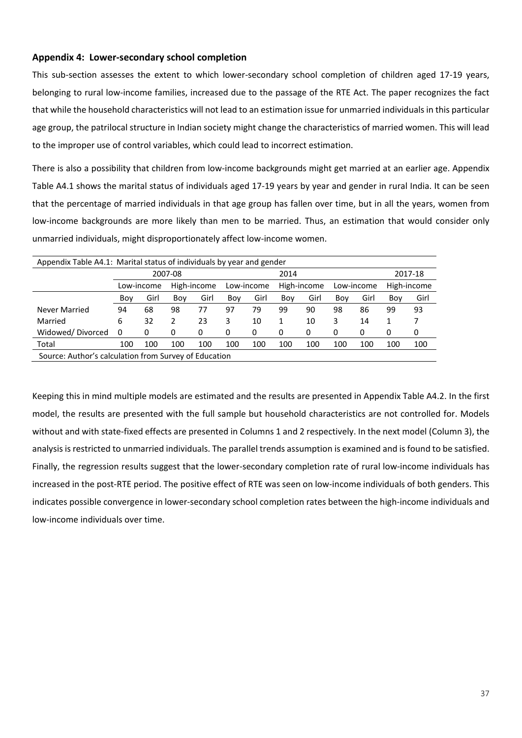#### <span id="page-37-0"></span>**Appendix 4: Lower-secondary school completion**

This sub-section assesses the extent to which lower-secondary school completion of children aged 17-19 years, belonging to rural low-income families, increased due to the passage of the RTE Act. The paper recognizes the fact that while the household characteristics will not lead to an estimation issue for unmarried individuals in this particular age group, the patrilocal structure in Indian society might change the characteristics of married women. This will lead to the improper use of control variables, which could lead to incorrect estimation.

There is also a possibility that children from low-income backgrounds might get married at an earlier age. Appendix Table A4.1 shows the marital status of individuals aged 17-19 years by year and gender in rural India. It can be seen that the percentage of married individuals in that age group has fallen over time, but in all the years, women from low-income backgrounds are more likely than men to be married. Thus, an estimation that would consider only unmarried individuals, might disproportionately affect low-income women.

| Appendix Table A4.1: Marital status of individuals by year and gender |     |                 |     |             |     |            |     |             |            |      |             |      |
|-----------------------------------------------------------------------|-----|-----------------|-----|-------------|-----|------------|-----|-------------|------------|------|-------------|------|
|                                                                       |     | 2007-08<br>2014 |     |             |     |            |     | 2017-18     |            |      |             |      |
|                                                                       |     | Low-income      |     | High-income |     | Low-income |     | High-income | Low-income |      | High-income |      |
|                                                                       | Boy | Girl            | Boy | Girl        | Boy | Girl       | Boy | Girl        | Boy        | Girl | Boy         | Girl |
| Never Married                                                         | 94  | 68              | 98  | 77          | 97  | 79         | 99  | 90          | 98         | 86   | 99          | 93   |
| Married                                                               | 6   | 32              | 2   | 23          | 3   | 10         |     | 10          | 3          | 14   | 1           |      |
| Widowed/Divorced                                                      | 0   | 0               | 0   | 0           | 0   | 0          | 0   | 0           | 0          | 0    | 0           | 0    |
| Total                                                                 | 100 | 100             | 100 | 100         | 100 | 100        | 100 | 100         | 100        | 100  | 100         | 100  |
| Source: Author's calculation from Survey of Education                 |     |                 |     |             |     |            |     |             |            |      |             |      |

Keeping this in mind multiple models are estimated and the results are presented in Appendix Table A4.2. In the first model, the results are presented with the full sample but household characteristics are not controlled for. Models without and with state-fixed effects are presented in Columns 1 and 2 respectively. In the next model (Column 3), the analysis is restricted to unmarried individuals. The parallel trends assumption is examined and is found to be satisfied. Finally, the regression results suggest that the lower-secondary completion rate of rural low-income individuals has increased in the post-RTE period. The positive effect of RTE was seen on low-income individuals of both genders. This indicates possible convergence in lower-secondary school completion rates between the high-income individuals and low-income individuals over time.